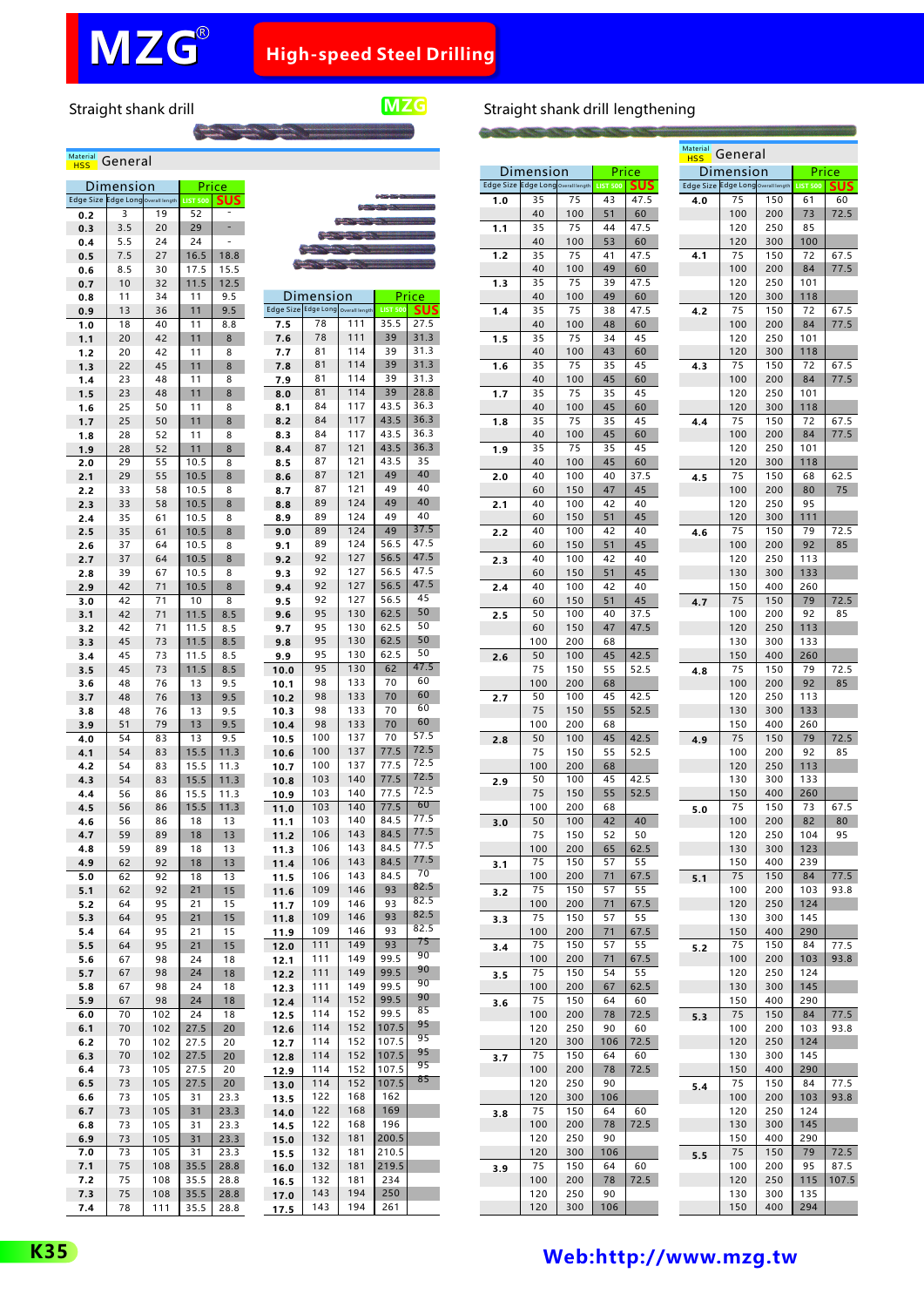**CONSTRUCTION** 

Straight shank drill

**MZG**

### <sup>Material</sup> General

| Edge Size Edge Long Overall length | Dimension  |            | <b>LIST 500</b> | Price<br>SU! |                                           |            |            |                         |              |
|------------------------------------|------------|------------|-----------------|--------------|-------------------------------------------|------------|------------|-------------------------|--------------|
| 0.2                                | 3          | 19         | 52              |              |                                           |            |            |                         |              |
| 0.3                                | 3.5        | 20         | 29              |              |                                           |            |            |                         |              |
| 0.4                                | 5.5        | 24         | 24              |              |                                           |            |            |                         |              |
| 0.5<br>0.6                         | 7.5<br>8.5 | 27<br>30   | 16.5<br>17.5    | 18.8<br>15.5 |                                           |            |            |                         |              |
| 0.7                                | 10         | 32         | 11.5            | 12.5         |                                           |            |            |                         |              |
| 0.8                                | 11         | 34         | 11              | 9.5          |                                           | Dimension  |            |                         | Price        |
| 0.9                                | 13         | 36         | 11              | 9.5          | Edge Size Edge Long Overall length<br>7.5 | 78         | 111        | <b>LIST 500</b><br>35.5 | sus<br>27.5  |
| 1.0<br>1.1                         | 18<br>20   | 40<br>42   | 11<br>11        | 8.8<br>8     | 7.6                                       | 78         | 111        | 39                      | 31.3         |
| 1.2                                | 20         | 42         | 11              | 8            | 7.7                                       | 81         | 114        | 39                      | 31.3         |
| 1.3                                | 22         | 45         | 11              | 8            | 7.8                                       | 81         | 114        | 39                      | 31.3         |
| 1.4                                | 23<br>23   | 48<br>48   | 11<br>11        | 8<br>8       | 7.9                                       | 81<br>81   | 114<br>114 | 39<br>39                | 31.3<br>28.8 |
| 1.5<br>1.6                         | 25         | 50         | 11              | 8            | 8.0<br>8.1                                | 84         | 117        | 43.5                    | 36.3         |
| 1.7                                | 25         | 50         | 11              | 8            | 8.2                                       | 84         | 117        | 43.5                    | 36.3         |
| 1.8                                | 28         | 52         | 11              | 8            | 8.3                                       | 84         | 117        | 43.5                    | 36.3         |
| 1.9                                | 28         | 52         | 11              | 8            | 8.4                                       | 87<br>87   | 121<br>121 | 43.5<br>43.5            | 36.3<br>35   |
| 2.0<br>2.1                         | 29<br>29   | 55<br>55   | 10.5<br>10.5    | 8<br>8       | 8.5<br>8.6                                | 87         | 121        | 49                      | 40           |
| 2.2                                | 33         | 58         | 10.5            | 8            | 8.7                                       | 87         | 121        | 49                      | 40           |
| 2.3                                | 33         | 58         | 10.5            | 8            | 8.8                                       | 89         | 124        | 49                      | 40           |
| 2.4                                | 35         | 61         | 10.5            | 8            | 8.9                                       | 89<br>89   | 124<br>124 | 49<br>49                | 40<br>37.5   |
| 2.5<br>2.6                         | 35<br>37   | 61<br>64   | 10.5<br>10.5    | 8<br>8       | 9.0<br>9.1                                | 89         | 124        | 56.5                    | 47.5         |
| 2.7                                | 37         | 64         | 10.5            | 8            | 9.2                                       | 92         | 127        | 56.5                    | 47.5         |
| 2.8                                | 39         | 67         | 10.5            | 8            | 9.3                                       | 92         | 127        | 56.5                    | 47.5         |
| 2.9<br>3.0                         | 42<br>42   | 71<br>71   | 10.5<br>10      | 8<br>8       | 9.4<br>9.5                                | 92<br>92   | 127<br>127 | 56.5<br>56.5            | 47.5<br>45   |
| 3.1                                | 42         | 71         | 11.5            | 8.5          | 9.6                                       | 95         | 130        | 62.5                    | 50           |
| 3.2                                | 42         | 71         | 11.5            | 8.5          | 9.7                                       | 95         | 130        | 62.5                    | 50           |
| 3.3                                | 45         | 73         | 11.5            | 8.5          | 9.8                                       | 95         | 130        | 62.5                    | 50<br>50     |
| 3.4<br>3.5                         | 45<br>45   | 73<br>73   | 11.5<br>11.5    | 8.5<br>8.5   | 9.9<br>10.0                               | 95<br>95   | 130<br>130 | 62.5<br>62              | 47.5         |
| 3.6                                | 48         | 76         | 13              | 9.5          | 10.1                                      | 98         | 133        | 70                      | 60           |
| 3.7                                | 48         | 76         | 13              | 9.5          | 10.2                                      | 98         | 133        | 70                      | 60           |
| 3.8                                | 48         | 76         | 13              | 9.5          | 10.3                                      | 98         | 133        | 70                      | 60<br>60     |
| 3.9<br>4.0                         | 51<br>54   | 79<br>83   | 13<br>13        | 9.5<br>9.5   | 10.4<br>10.5                              | 98<br>100  | 133<br>137 | 70<br>70                | 57.5         |
| 4.1                                | 54         | 83         | 15.5            | 11.3         | 10.6                                      | 100        | 137        | 77.5                    | 72.5         |
| 4.2                                | 54         | 83         | 15.5            | 11.3         | 10.7                                      | 100        | 137        | 77.5                    | 72.5         |
| 4.3<br>4.4                         | 54<br>56   | 83<br>86   | 15.5<br>15.5    | 11.3<br>11.3 | 10.8<br>10.9                              | 103<br>103 | 140<br>140 | 77.5<br>77.5            | 72.5<br>72.5 |
| 4.5                                | 56         | 86         | 15.5            | 11.3         | 11.0                                      | 103        | 140        | 77.5                    | 60           |
| 4.6                                | 56         | 86         | 18              | 13           | 11.1                                      | 103        | 140        | 84.5                    | 77.5         |
| 4.7                                | 59         | 89         | 18              | 13           | 11.2                                      | 106        | 143        | 84.5                    | 77.5<br>77.5 |
| 4.8<br>4.9                         | 59<br>62   | 89<br>92   | 18<br>18        | 13<br>13     | 11.3<br>11.4                              | 106<br>106 | 143<br>143 | 84.5<br>84.5            | 77.5         |
| 5.0                                | 62         | 92         | 18              | 13           | 11.5                                      | 106        | 143        | 84.5                    | 70           |
| 5.1                                | 62         | 92         | 21              | 15           | 11.6                                      | 109        | 146        | 93                      | 82.5         |
| 5.2                                | 64         | 95         | 21              | 15           | 11.7                                      | 109        | 146        | 93                      | 82.5<br>82.5 |
| 5.3<br>5.4                         | 64<br>64   | 95<br>95   | 21<br>21        | 15<br>15     | 11.8<br>11.9                              | 109<br>109 | 146<br>146 | 93<br>93                | 82.5         |
| 5.5                                | 64         | 95         | 21              | 15           | 12.0                                      | 111        | 149        | 93                      | 75           |
| 5.6                                | 67         | 98         | 24              | 18           | 12.1                                      | 111        | 149        | 99.5                    | 90           |
| 5.7                                | 67         | 98         | 24<br>24        | 18           | 12.2                                      | 111<br>111 | 149<br>149 | 99.5<br>99.5            | 90<br>90     |
| 5.8<br>5.9                         | 67<br>67   | 98<br>98   | 24              | 18<br>18     | 12.3<br>12.4                              | 114        | 152        | 99.5                    | 90           |
| 6.0                                | 70         | 102        | 24              | 18           | 12.5                                      | 114        | 152        | 99.5                    | 85           |
| 6.1                                | 70         | 102        | 27.5            | 20           | 12.6                                      | 114        | 152        | 107.5                   | 95<br>95     |
| 6.2<br>6.3                         | 70<br>70   | 102<br>102 | 27.5<br>27.5    | 20<br>20     | 12.7                                      | 114<br>114 | 152<br>152 | 107.5<br>107.5          | 95           |
| 6.4                                | 73         | 105        | 27.5            | 20           | 12.8<br>12.9                              | 114        | 152        | 107.5                   | 95           |
| $\bf 6.5$                          | 73         | 105        | 27.5            | 20           | 13.0                                      | 114        | 152        | 107.5                   | 85           |
| 6.6                                | 73         | 105        | 31              | 23.3         | 13.5                                      | 122        | 168        | 162                     |              |
| 6.7<br>6.8                         | 73<br>73   | 105<br>105 | 31<br>31        | 23.3<br>23.3 | 14.0                                      | 122<br>122 | 168<br>168 | 169<br>196              |              |
| 6.9                                | 73         | 105        | 31              | 23.3         | 14.5<br>15.0                              | 132        | 181        | 200.5                   |              |
| 7.0                                | 73         | 105        | 31              | 23.3         | 15.5                                      | 132        | 181        | 210.5                   |              |
| 7.1                                | 75         | 108        | 35.5            | 28.8         | 16.0                                      | 132        | 181        | 219.5                   |              |
| 7.2<br>7.3                         | 75<br>75   | 108<br>108 | 35.5<br>35.5    | 28.8<br>28.8 | 16.5<br>17.0                              | 132<br>143 | 181<br>194 | 234<br>250              |              |
| 7.4                                | 78         | 111        | 35.5            | 28.8         | 17.5                                      | 143        | 194        | 261                     |              |
|                                    |            |            |                 |              |                                           |            |            |                         |              |

|                  | Dimension                |            | <b>Price</b>    |            |
|------------------|--------------------------|------------|-----------------|------------|
| <b>Edge Size</b> | Edge Long Overall length |            | <b>LIST 500</b> | <b>SUS</b> |
| 1.0              | 35                       | 75         | 43              | 47.5       |
| 1.1              | 40<br>35                 | 100<br>75  | 51<br>44        | 60<br>47.5 |
|                  | 40                       | 100        | 53              | 60         |
| 1.2              | 35                       | 75         | 41              | 47.5       |
|                  | 40                       | 100        | 49              | 60         |
| 1.3              | 35                       | 75         | 39              | 47.5       |
| 1.4              | 40<br>35                 | 100<br>75  | 49<br>38        | 60<br>47.5 |
|                  | 40                       | 100        | 48              | 60         |
| 1.5              | 35                       | 75         | 34              | 45         |
|                  | 40                       | 100        | 43              | 60         |
| 1.6              | 35                       | 75         | 35              | 45         |
|                  | 40<br>35                 | 100<br>75  | 45<br>35        | 60<br>45   |
| 1.7              | 40                       | 100        | 45              | 60         |
| 1.8              | 35                       | 75         | 35              | 45         |
|                  | 40                       | 100        | 45              | 60         |
| 1.9              | 35                       | 75         | 35              | 45         |
|                  | 40                       | 100        | 45              | 60         |
| 2.0              | 40<br>60                 | 100<br>150 | 40<br>47        | 37.5<br>45 |
| 2.1              | 40                       | 100        | 42              | 40         |
|                  | 60                       | 150        | 51              | 45         |
| 2.2              | 40                       | 100        | 42              | 40         |
|                  | 60                       | 150        | 51              | 45         |
| 2.3              | 40                       | 100        | 42              | 40         |
|                  | 60<br>40                 | 150<br>100 | 51<br>42        | 45<br>40   |
| 2.4              | 60                       | 150        | 51              | 45         |
| 2.5              | 50                       | 100        | 40              | 37.5       |
|                  | 60                       | 150        | 47              | 47.5       |
|                  | 100                      | 200        | 68              |            |
| 2.6              | 50                       | 100        | 45              | 42.5       |
|                  | 75<br>100                | 150<br>200 | 55<br>68        | 52.5       |
| 2.7              | 50                       | 100        | 45              | 42.5       |
|                  | 75                       | 150        | 55              | 52.5       |
|                  | 100                      | 200        | 68              |            |
| 2.8              | 50                       | 100        | 45              | 42.5       |
|                  | 75<br>100                | 150<br>200 | 55<br>68        | 52.5       |
| 2.9              | 50                       | 100        | 45              | 42.5       |
|                  | 75                       | 150        | 55              | 52.5       |
|                  | 100                      | 200        | 68              |            |
| 3.0              | 50                       | 100        | 42              | 40         |
|                  | 75                       | 150        | 52              | 50         |
|                  | 100<br>75                | 200<br>150 | 65<br>57        | 62.5<br>55 |
| 3.1              | 100                      | 200        | 71              | 67.5       |
| 3.2              | 75                       | 150        | 57              | 55         |
|                  | 100                      | 200        | 71              | 67.5       |
| 3.3              | 75                       | 150        | 57              | 55         |
|                  | 100<br>75                | 200<br>150 | 71              | 67.5<br>55 |
| 3.4              | 100                      | 200        | 57<br>71        | 67.5       |
| 3.5              | 75                       | 150        | 54              | 55         |
|                  | 100                      | 200        | 67              | 62.5       |
| 3.6              | 75                       | 150        | 64              | 60         |
|                  | 100                      | 200        | 78              | 72.5<br>60 |
|                  | 120<br>120               | 250<br>300 | 90<br>106       | 72.5       |
| 3.7              | 75                       | 150        | 64              | 60         |
|                  | 100                      | 200        | 78              | 72.5       |
|                  | 120                      | 250        | 90              |            |
|                  | 120                      | 300        | 106             |            |
| 3.8              | 75<br>100                | 150<br>200 | 64<br>78        | 60<br>72.5 |
|                  | 120                      | 250        | 90              |            |
|                  | 120                      | 300        | 106             |            |
| 3.9              | 75                       | 150        | 64              | 60         |
|                  | 100                      | 200        | 78              | 72.5       |
|                  | 120                      | 250        | 90              |            |
|                  | 120                      | 300        | 106             |            |

Straight shank drill lengthening

|                                    |            |            |                 |            | Material<br><b>HSS</b> | General                            |            |                 |              |
|------------------------------------|------------|------------|-----------------|------------|------------------------|------------------------------------|------------|-----------------|--------------|
|                                    | Dimension  |            |                 | Price      |                        | Dimension                          |            |                 | Price        |
| Edge Size Edge Long Overall length |            |            | <b>LIST 500</b> | <b>SUS</b> |                        | Edge Size Edge Long Overall length |            | <b>LIST 500</b> | <b>SUS</b>   |
| 1.0                                | 35         | 75         | 43              | 47.5       | 4.0                    | 75                                 | 150        | 61              | 60           |
|                                    | 40         | 100        | 51              | 60         |                        | 100                                | 200        | 73              | 72.5         |
| 1.1                                | 35<br>40   | 75<br>100  | 44<br>53        | 47.5<br>60 |                        | 120<br>120                         | 250<br>300 | 85<br>100       |              |
| 1.2                                | 35         | 75         | 41              | 47.5       | 4.1                    | 75                                 | 150        | 72              | 67.5         |
|                                    | 40         | 100        | 49              | 60         |                        | 100                                | 200        | 84              | 77.5         |
| 1.3                                | 35         | 75         | 39              | 47.5       |                        | 120                                | 250        | 101             |              |
|                                    | 40         | 100        | 49              | 60         |                        | 120                                | 300        | 118             |              |
| 1.4                                | 35<br>40   | 75<br>100  | 38<br>48        | 47.5<br>60 | 4.2                    | 75<br>100                          | 150<br>200 | 72<br>84        | 67.5<br>77.5 |
| 1.5                                | 35         | 75         | 34              | 45         |                        | 120                                | 250        | 101             |              |
|                                    | 40         | 100        | 43              | 60         |                        | 120                                | 300        | 118             |              |
| 1.6                                | 35         | 75         | 35              | 45         | 4.3                    | 75                                 | 150        | 72              | 67.5         |
|                                    | 40<br>35   | 100<br>75  | 45<br>35        | 60<br>45   |                        | 100<br>120                         | 200<br>250 | 84<br>101       | 77.5         |
| 1.7                                | 40         | 100        | 45              | 60         |                        | 120                                | 300        | 118             |              |
| 1.8                                | 35         | 75         | 35              | 45         | 4.4                    | 75                                 | 150        | 72              | 67.5         |
|                                    | 40         | 100        | 45              | 60         |                        | 100                                | 200        | 84              | 77.5         |
| 1.9                                | 35         | 75         | 35              | 45         |                        | 120                                | 250        | 101             |              |
| 2.0                                | 40<br>40   | 100<br>100 | 45<br>40        | 60<br>37.5 | 4.5                    | 120<br>75                          | 300<br>150 | 118<br>68       | 62.5         |
|                                    | 60         | 150        | 47              | 45         |                        | 100                                | 200        | 80              | 75           |
| 2.1                                | 40         | 100        | 42              | 40         |                        | 120                                | 250        | 95              |              |
|                                    | 60         | 150        | 51              | 45         |                        | 120                                | 300        | 111             |              |
| 2.2                                | 40<br>60   | 100<br>150 | 42<br>51        | 40<br>45   | 4.6                    | 75<br>100                          | 150<br>200 | 79<br>92        | 72.5<br>85   |
| 2.3                                | 40         | 100        | 42              | 40         |                        | 120                                | 250        | 113             |              |
|                                    | 60         | 150        | 51              | 45         |                        | 130                                | 300        | 133             |              |
| 2.4                                | 40         | 100        | 42              | 40         |                        | 150                                | 400        | 260             |              |
|                                    | 60<br>50   | 150<br>100 | 51<br>40        | 45<br>37.5 | 4.7                    | 75<br>100                          | 150<br>200 | 79<br>92        | 72.5<br>85   |
| 2.5                                | 60         | 150        | 47              | 47.5       |                        | 120                                | 250        | 113             |              |
|                                    | 100        | 200        | 68              |            |                        | 130                                | 300        | 133             |              |
| 2.6                                | 50         | 100        | 45              | 42.5       |                        | 150                                | 400        | 260             |              |
|                                    | 75         | 150        | 55              | 52.5       | 4.8                    | 75                                 | 150        | 79              | 72.5         |
| 2.7                                | 100<br>50  | 200<br>100 | 68<br>45        | 42.5       |                        | 100<br>120                         | 200<br>250 | 92<br>113       | 85           |
|                                    | 75         | 150        | 55              | 52.5       |                        | 130                                | 300        | 133             |              |
|                                    | 100        | 200        | 68              |            |                        | 150                                | 400        | 260             |              |
| 2.8                                | 50         | 100        | 45              | 42.5       | 4.9                    | 75                                 | 150        | 79              | 72.5         |
|                                    | 75<br>100  | 150<br>200 | 55<br>68        | 52.5       |                        | 100<br>120                         | 200<br>250 | 92<br>113       | 85           |
| 2.9                                | 50         | 100        | 45              | 42.5       |                        | 130                                | 300        | 133             |              |
|                                    | 75         | 150        | 55              | 52.5       |                        | 150                                | 400        | 260             |              |
|                                    | 100        | 200        | 68              |            | 5.0                    | 75                                 | 150        | 73              | 67.5         |
| 3.0                                | 50<br>75   | 100<br>150 | 42              | 40<br>50   |                        | 100                                | 200<br>250 | 82              | 80<br>95     |
|                                    | 100        | 200        | 52<br>65        | 62.5       |                        | 120<br>130                         | 300        | 104<br>123      |              |
| 3.1                                | 75         | 150        | 57              | 55         |                        | 150                                | 400        | 239             |              |
|                                    | 100        | 200        | 71              | 67.5       | 5.1                    | 75                                 | 150        | 84              | 77.5         |
| 3.2                                | 75         | 150        | 57              | 55<br>67.5 |                        | 100                                | 200        | 103             | 93.8         |
| 3.3                                | 100<br>75  | 200<br>150 | 71<br>57        | 55         |                        | 120<br>130                         | 250<br>300 | 124<br>145      |              |
|                                    | 100        | 200        | 71              | 67.5       |                        | 150                                | 400        | 290             |              |
| 3.4                                | 75         | 150        | 57              | 55         | 5.2                    | 75                                 | 150        | 84              | 77.5         |
|                                    | 100        | 200        | 71              | 67.5       |                        | 100                                | 200        | 103             | 93.8         |
| 3.5                                | 75<br>100  | 150<br>200 | 54<br>67        | 55<br>62.5 |                        | 120<br>130                         | 250<br>300 | 124<br>145      |              |
| 3.6                                | 75         | 150        | 64              | 60         |                        | 150                                | 400        | 290             |              |
|                                    | 100        | 200        | 78              | 72.5       | 5.3                    | 75                                 | 150        | 84              | 77.5         |
|                                    | 120        | 250        | 90              | 60         |                        | 100                                | 200        | 103             | 93.8         |
|                                    | 120<br>75  | 300        | 106             | 72.5       |                        | 120                                | 250        | 124             |              |
| 3.7                                | 100        | 150<br>200 | 64<br>78        | 60<br>72.5 |                        | 130<br>150                         | 300<br>400 | 145<br>290      |              |
|                                    | 120        | 250        | 90              |            | 5.4                    | 75                                 | 150        | 84              | 77.5         |
|                                    | 120        | 300        | 106             |            |                        | 100                                | 200        | 103             | 93.8         |
| 3.8                                | 75         | 150        | 64              | 60         |                        | 120                                | 250        | 124             |              |
|                                    | 100<br>120 | 200<br>250 | 78<br>90        | 72.5       |                        | 130<br>150                         | 300<br>400 | 145<br>290      |              |
|                                    | 120        | 300        | 106             |            | 5.5                    | 75                                 | 150        | 79              | 72.5         |
| 3.9                                | 75         | 150        | 64              | 60         |                        | 100                                | 200        | 95              | 87.5         |
|                                    | 100        | 200        | 78              | 72.5       |                        | 120                                | 250        | 115             | 107.5        |
|                                    | 120<br>120 | 250<br>300 | 90<br>106       |            |                        | 130<br>150                         | 300<br>400 | 135<br>294      |              |
|                                    |            |            |                 |            |                        |                                    |            |                 |              |

## **K35 [Web:http://www.mzg.tw](http://www.mzg.tw)**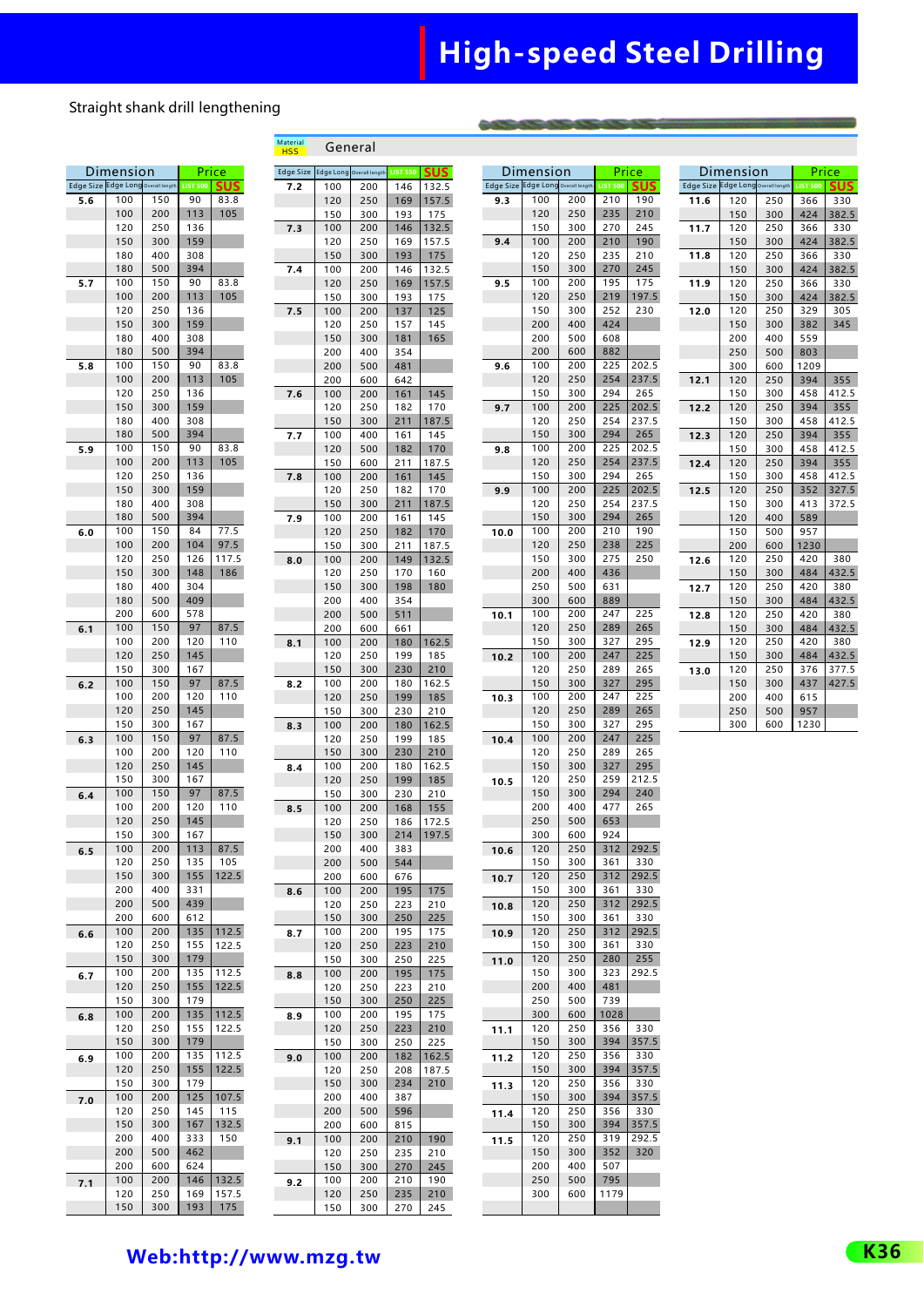## **High-speed Steel Drilling**

### Straight shank drill lengthening

### <u><sup>Material</sup></u> General

|                                           | Dimension  |            | <b>Price</b>          |              |  |  |  |  |
|-------------------------------------------|------------|------------|-----------------------|--------------|--|--|--|--|
| Edge Size Edge Long Overall length<br>5.6 | 100        | 150        | <b>LIST 500</b><br>90 | sus<br>83.8  |  |  |  |  |
|                                           | 100        | 200        | 113                   | 105          |  |  |  |  |
|                                           | 120        | 250        | 136                   |              |  |  |  |  |
|                                           | 150        | 300        | 159                   |              |  |  |  |  |
|                                           | 180        | 400        | 308                   |              |  |  |  |  |
|                                           | 180        | 500        | 394                   |              |  |  |  |  |
| 5.7                                       | 100<br>100 | 150<br>200 | 90<br>113             | 83.8<br>105  |  |  |  |  |
|                                           | 120        | 250        | 136                   |              |  |  |  |  |
|                                           | 150        | 300        | 159                   |              |  |  |  |  |
|                                           | 180        | 400        | 308                   |              |  |  |  |  |
|                                           | 180        | 500        | 394                   |              |  |  |  |  |
| 5.8                                       | 100        | 150        | 90                    | 83.8         |  |  |  |  |
|                                           | 100<br>120 | 200<br>250 | 113<br>136            | 105          |  |  |  |  |
|                                           | 150        | 300        | 159                   |              |  |  |  |  |
|                                           | 180        | 400        | 308                   |              |  |  |  |  |
|                                           | 180        | 500        | 394                   |              |  |  |  |  |
| 5.9                                       | 100        | 150        | 90                    | 83.8         |  |  |  |  |
|                                           | 100        | 200        | 113                   | 105          |  |  |  |  |
|                                           | 120<br>150 | 250<br>300 | 136<br>159            |              |  |  |  |  |
|                                           | 180        | 400        | 308                   |              |  |  |  |  |
|                                           | 180        | 500        | 394                   |              |  |  |  |  |
| 6.0                                       | 100        | 150        | 84                    | 77.5         |  |  |  |  |
|                                           | 100        | 200        | 104                   | 97.5         |  |  |  |  |
|                                           | 120        | 250        | 126                   | 117.5        |  |  |  |  |
|                                           | 150        | 300        | 148<br>304            | 186          |  |  |  |  |
|                                           | 180<br>180 | 400<br>500 | 409                   |              |  |  |  |  |
|                                           | 200        | 600        | 578                   |              |  |  |  |  |
| 6.1                                       | 100        | 150        | 97                    | 87.5         |  |  |  |  |
|                                           | 100        | 200        | 120                   | 110          |  |  |  |  |
|                                           | 120        | 250        | 145                   |              |  |  |  |  |
|                                           | 150        | 300        | 167                   |              |  |  |  |  |
| 6.2                                       | 100<br>100 | 150<br>200 | 97<br>120             | 87.5<br>110  |  |  |  |  |
|                                           | 120        | 250        | 145                   |              |  |  |  |  |
|                                           | 150        | 300        | 167                   |              |  |  |  |  |
| 6.3                                       | 100        | 150        | 97                    | 87.5         |  |  |  |  |
|                                           | 100        | 200        | 120                   | 110          |  |  |  |  |
|                                           | 120        | 250        | 145                   |              |  |  |  |  |
|                                           | 150<br>100 | 300<br>150 | 167<br>97             | 87.5         |  |  |  |  |
| 6.4                                       | 100        | 200        | 120                   | 110          |  |  |  |  |
|                                           | 120        | 250        | 145                   |              |  |  |  |  |
|                                           | 150        | 300        | 167                   |              |  |  |  |  |
| 6.5                                       | 100        | 200        | 113                   | 87.5         |  |  |  |  |
|                                           | 120<br>150 | 250<br>300 | 135<br>155            | 105<br>122.5 |  |  |  |  |
|                                           | 200        | 400        | 331                   |              |  |  |  |  |
|                                           | 200        | 500        | 439                   |              |  |  |  |  |
|                                           | 200        | 600        | 612                   |              |  |  |  |  |
| 6.6                                       | 100        | 200        | 135                   | 112.5        |  |  |  |  |
|                                           | 120        | 250<br>300 | 155                   | 122.5        |  |  |  |  |
|                                           | 150<br>100 | 200        | 179<br>135            | 112.5        |  |  |  |  |
| 6.7                                       | 120        | 250        | 155                   | 122.5        |  |  |  |  |
|                                           | 150        | 300        | 179                   |              |  |  |  |  |
| 6.8                                       | 100        | 200        | 135                   | 112.5        |  |  |  |  |
|                                           | 120        | 250        | 155                   | 122.5        |  |  |  |  |
|                                           | 150<br>100 | 300<br>200 | 179<br>135            | 112.5        |  |  |  |  |
| 6.9                                       | 120        | 250        | 155                   | 122.5        |  |  |  |  |
|                                           | 150        | 300        | 179                   |              |  |  |  |  |
| 7.0                                       | 100        | 200        | 125                   | 107.5        |  |  |  |  |
|                                           | 120        | 250        | 145                   | 115          |  |  |  |  |
|                                           | 150        | 300        | 167                   | 132.5        |  |  |  |  |
|                                           | 200<br>200 | 400<br>500 | 333<br>462            | 150          |  |  |  |  |
|                                           | 200        | 600        | 624                   |              |  |  |  |  |
| 7.1                                       | 100        | 200        | 146                   | 132.5        |  |  |  |  |
|                                           | 120        | 250        | 169                   | 157.5        |  |  |  |  |
|                                           | 150        | 300        | 193                   | 175          |  |  |  |  |

| <b>Edge Size</b> |            | Edge Long Overall length | <b>LIST 550</b> | SUS          |
|------------------|------------|--------------------------|-----------------|--------------|
| 7.2              | 100        | 200                      | 146             | 132.5        |
|                  | 120        | 250                      | 169             | 157.5        |
|                  | 150        | 300                      | 193             | 175          |
| 7.3              | 100        | 200                      | 146             | 132.5        |
|                  | 120        | 250                      | 169             | 157.5        |
|                  | 150        | 300                      | 193             | 175          |
| 7.4              | 100        | 200                      | 146             | 132.5        |
|                  | 120        | 250                      | 169<br>193      | 157.5<br>175 |
| 7.5              | 150<br>100 | 300<br>200               | 137             | 125          |
|                  | 120        | 250                      | 157             | 145          |
|                  | 150        | 300                      | 181             | 165          |
|                  | 200        | 400                      | 354             |              |
|                  | 200        | 500                      | 481             |              |
|                  | 200        | 600                      | 642             |              |
| 7.6              | 100        | 200                      | 161             | 145          |
|                  | 120        | 250                      | 182             | 170          |
|                  | 150        | 300                      | 211             | 187.5        |
| 7.7              | 100<br>120 | 400                      | 161<br>182      | 145<br>170   |
|                  | 150        | 500<br>600               | 211             | 187.5        |
| 7.8              | 100        | 200                      | 161             | 145          |
|                  | 120        | 250                      | 182             | 170          |
|                  | 150        | 300                      | 211             | 187.5        |
| 7.9              | 100        | 200                      | 161             | 145          |
|                  | 120        | 250                      | 182             | 170          |
|                  | 150        | 300                      | 211             | 187.5        |
| 8.0              | 100        | 200                      | 149             | 132.5        |
|                  | 120        | 250                      | 170             | 160          |
|                  | 150<br>200 | 300<br>400               | 198<br>354      | 180          |
|                  | 200        | 500                      | 511             |              |
|                  | 200        | 600                      | 661             |              |
| 8.1              | 100        | 200                      | 180             | 162.5        |
|                  | 120        | 250                      | 199             | 185          |
|                  | 150        | 300                      | 230             | 210          |
| 8.2              | 100        | 200                      | 180             | 162.5        |
|                  | 120        | 250                      | 199             | 185          |
|                  | 150        | 300                      | 230             | 210          |
| 8.3              | 100<br>120 | 200<br>250               | 180<br>199      | 162.5<br>185 |
|                  | 150        | 300                      | 230             | 210          |
| 8.4              | 100        | 200                      | 180             | 162.5        |
|                  | 120        | 250                      | 199             | 185          |
|                  | 150        | 300                      | 230             | 210          |
| 8.5              | 100        | 200                      | 168             | 155          |
|                  | 120        | 250                      | 186             | 172.5        |
|                  | 150        | 300                      | 214             | 197.5        |
|                  | 200        | 400                      | 383             |              |
|                  | 200<br>200 | 500<br>600               | 544<br>676      |              |
| 8.6              | 100        | 200                      | 195             | 175          |
|                  | 120        | 250                      | 223             | 210          |
|                  | 150        | 300                      | 250             | 225          |
| 8.7              | 100        | 200                      | 195             | 175          |
|                  | 120        | 250                      | 223             | 210          |
|                  | 150        | 300                      | 250             | 225          |
| 8.8              | 100        | 200                      | 195             | 175          |
|                  | 120<br>150 | 250<br>300               | 223<br>250      | 210<br>225   |
| 8.9              | 100        | 200                      | 195             | 175          |
|                  | 120        | 250                      | 223             | 210          |
|                  | 150        | 300                      | 250             | 225          |
| 9.0              | 100        | 200                      | 182             | 162.5        |
|                  | 120        | 250                      | 208             | 187.5        |
|                  | 150        | 300                      | 234             | 210          |
|                  | 200        | 400                      | 387             |              |
|                  | 200        | 500                      | 596             |              |
|                  | 200<br>100 | 600<br>200               | 815<br>210      | 190          |
| 9.1              | 120        | 250                      | 235             | 210          |
|                  | 150        | 300                      | 270             | 245          |
| 9.2              | 100        | 200                      | 210             | 190          |
|                  | 120        | 250                      | 235             | 210          |
|                  | 150        | 300                      | 270             | 245          |

|           | Dimension                       |            |                 | Price          |
|-----------|---------------------------------|------------|-----------------|----------------|
| Edge Size | Edge Long Overall length<br>100 | 200        | <b>LIST 500</b> | SUS<br>190     |
| 9.3       | 120                             | 250        | 210<br>235      | 210            |
|           | 150                             | 300        | 270             | 245            |
| 9.4       | 100                             | 200        | 210             | 190            |
|           | 120                             | 250        | 235             | 210            |
|           | 150                             | 300<br>200 | 270             | 245<br>175     |
| 9.5       | 100<br>120                      | 250        | 195<br>219      | 197.5          |
|           | 150                             | 300        | 252             | 230            |
|           | 200                             | 400        | 424             |                |
|           | 200                             | 500        | 608             |                |
|           | 200                             | 600        | 882             |                |
| 9.6       | 100<br>120                      | 200<br>250 | 225<br>254      | 202.5<br>237.5 |
|           | 150                             | 300        | 294             | 265            |
| 9.7       | 100                             | 200        | 225             | 202.5          |
|           | 120                             | 250        | 254             | 237.5          |
|           | 150                             | 300        | 294             | 265            |
| 9.8       | 100                             | 200        | 225             | 202.5          |
|           | 120<br>150                      | 250<br>300 | 254<br>294      | 237.5<br>265   |
| 9.9       | 100                             | 200        | 225             | 202.5          |
|           | 120                             | 250        | 254             | 237.5          |
|           | 150                             | 300        | 294             | 265            |
| 10.0      | 100                             | 200        | 210             | 190            |
|           | 120                             | 250        | 238             | 225            |
|           | 150<br>200                      | 300<br>400 | 275<br>436      | 250            |
|           | 250                             | 500        | 631             |                |
|           | 300                             | 600        | 889             |                |
| 10.1      | 100                             | 200        | 247             | 225            |
|           | 120                             | 250        | 289             | 265            |
|           | 150                             | 300        | 327             | 295            |
| 10.2      | 100<br>120                      | 200<br>250 | 247<br>289      | 225<br>265     |
|           | 150                             | 300        | 327             | 295            |
| 10.3      | 100                             | 200        | 247             | 225            |
|           | 120                             | 250        | 289             | 265            |
|           | 150                             | 300        | 327             | 295            |
| 10.4      | 100<br>120                      | 200<br>250 | 247<br>289      | 225<br>265     |
|           | 150                             | 300        | 327             | 295            |
| 10.5      | 120                             | 250        | 259             | 212.5          |
|           | 150                             | 300        | 294             | 240            |
|           | 200                             | 400        | 477             | 265            |
|           | 250<br>300                      | 500<br>600 | 653<br>924      |                |
| 10.6      | 120                             | 250        | 312             | 292.5          |
|           | 150                             | 300        | 361             | 330            |
| 10.7      | 120                             | 250        | 312             | 292.5          |
|           | 150                             | 300        | 361             | 330            |
| 10.8      | 120                             | 250<br>300 | 312             | 292.5          |
| 10.9      | 150<br>120                      | 250        | 361<br>312      | 330<br>292.5   |
|           | 150                             | 300        | 361             | 330            |
| 11.0      | 120                             | 250        | 280             | 255            |
|           | 150                             | 300        | 323             | 292.5          |
|           | 200                             | 400        | 481             |                |
|           | 250<br>300                      | 500<br>600 | 739<br>1028     |                |
| 11.1      | 120                             | 250        | 356             | 330            |
|           | 150                             | 300        | 394             | 357.5          |
| 11.2      | 120                             | 250        | 356             | 330            |
|           | 150                             | 300        | 394             | 357.5          |
| 11.3      | 120<br>150                      | 250<br>300 | 356<br>394      | 330<br>357.5   |
| 11.4      | 120                             | 250        | 356             | 330            |
|           | 150                             | 300        | 394             | 357.5          |
| 11.5      | 120                             | 250        | 319             | 292.5          |
|           | 150                             | 300        | 352             | 320            |
|           | 200<br>250                      | 400<br>500 | 507<br>795      |                |
|           | 300                             | 600        | 1179            |                |
|           |                                 |            |                 |                |

|                                    | Dimension |     |                 | Price      |
|------------------------------------|-----------|-----|-----------------|------------|
| Edge Size Edge Long Overall length |           |     | <b>LIST 500</b> | <b>SUS</b> |
| 11.6                               | 120       | 250 | 366             | 330        |
|                                    | 150       | 300 | 424             | 382.5      |
| 11.7                               | 120       | 250 | 366             | 330        |
|                                    | 150       | 300 | 424             | 382.5      |
| 11.8                               | 120       | 250 | 366             | 330        |
|                                    | 150       | 300 | 424             | 382.5      |
| 11.9                               | 120       | 250 | 366             | 330        |
|                                    | 150       | 300 | 424             | 382.5      |
| 12.0                               | 120       | 250 | 329             | 305        |
|                                    | 150       | 300 | 382             | 345        |
|                                    | 200       | 400 | 559             |            |
|                                    | 250       | 500 | 803             |            |
|                                    | 300       | 600 | 1209            |            |
| 12.1                               | 120       | 250 | 394             | 355        |
|                                    | 150       | 300 | 458             | 412.5      |
| 12.2                               | 120       | 250 | 394             | 355        |
|                                    | 150       | 300 | 458             | 412.5      |
| 12.3                               | 120       | 250 | 394             | 355        |
|                                    | 150       | 300 | 458             | 412.5      |
| 12.4                               | 120       | 250 | 394             | 355        |
|                                    | 150       | 300 | 458             | 412.5      |
| 12.5                               | 120       | 250 | 352             | 327.5      |
|                                    | 150       | 300 | 413             | 372.5      |
|                                    | 120       | 400 | 589             |            |
|                                    | 150       | 500 | 957             |            |
|                                    | 200       | 600 | 1230            |            |
| 12.6                               | 120       | 250 | 420             | 380        |
|                                    | 150       | 300 | 484             | 432.5      |
| 12.7                               | 120       | 250 | 420             | 380        |
|                                    | 150       | 300 | 484             | 432.5      |
| 12.8                               | 120       | 250 | 420             | 380        |
|                                    | 150       | 300 | 484             | 432.5      |
| 12.9                               | 120       | 250 | 420             | 380        |
|                                    | 150       | 300 | 484             | 432.5      |
| 13.0                               | 120       | 250 | 376             | 377.5      |
|                                    | 150       | 300 | 437             | 427.5      |
|                                    | 200       | 400 | 615             |            |
|                                    | 250       | 500 | 957             |            |
|                                    | 300       | 600 | 1230            |            |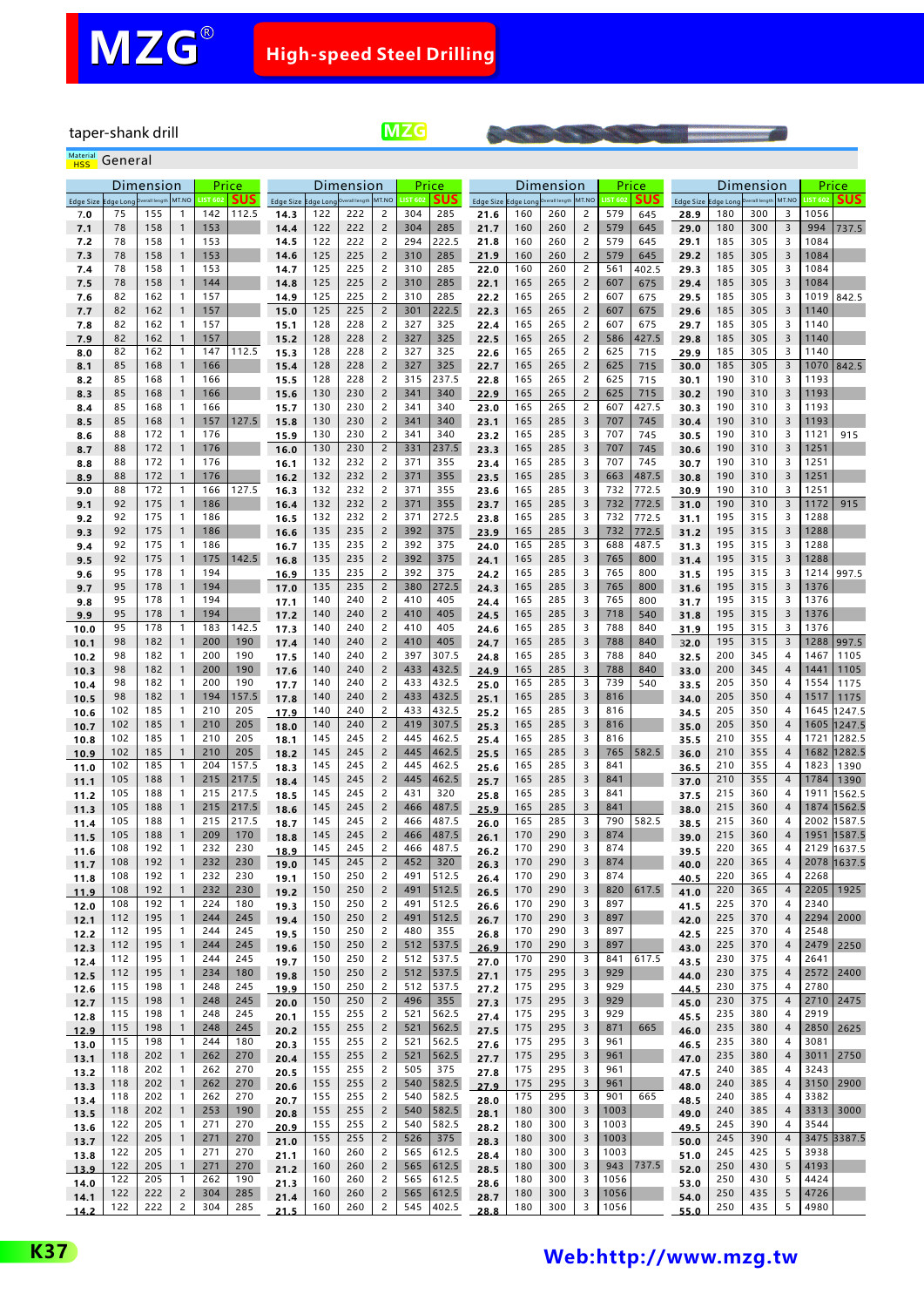**MZG**

taper-shank drill

### **K37 [Web:http://www.mzg.tw](http://www.mzg.tw)**

**55.0** 

**21.5**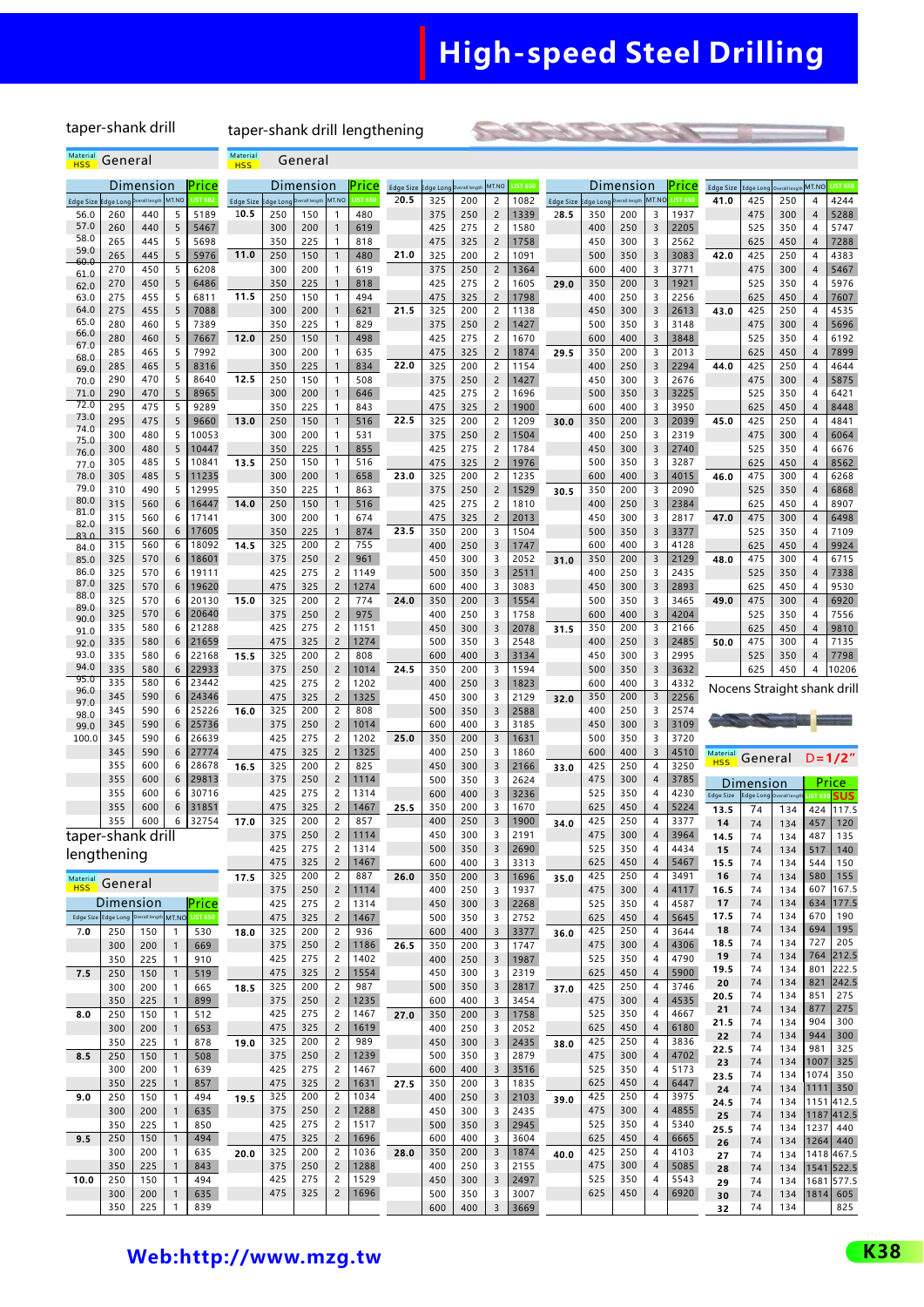## **High-speed Steel Drilling**

**CERCARE** 

### er-shank drill taper-shank drill lengthening

| taper-shank drill |
|-------------------|
|-------------------|

Material General

<sup>Material</sup> General

|                   |            | Dimension                                         |                                | Price          |                  |            | Dimension   |                                  | Price        | Edge Size Edge Long |            | Overall length | MT.NO                            | <b>IST 650</b> |                  |            | Dimension   |                         | Price           | <b>Edge Size</b>            | Edge Long        | verall leng              | MT.NO               | <b>IST 650</b> |
|-------------------|------------|---------------------------------------------------|--------------------------------|----------------|------------------|------------|-------------|----------------------------------|--------------|---------------------|------------|----------------|----------------------------------|----------------|------------------|------------|-------------|-------------------------|-----------------|-----------------------------|------------------|--------------------------|---------------------|----------------|
| <b>Edge Size</b>  | dge Long   | erall lengt                                       | MT.NO                          | <b>IST 602</b> | <b>Edge Size</b> | Edge Lon   | rall length | MT.NO                            | IST 650      | 20.5                | 325        | 200            | $\overline{c}$                   | 1082           | <b>Edge Size</b> | dge Lon    | rall length | MT.NO                   | <b>LIST 650</b> | 41.0                        | 425              | 250                      | 4                   | 4244           |
| 56.0              | 260        | 440                                               | 5                              | 5189           | 10.5             | 250        | 150         | -1                               | 480          |                     | 375        | 250            | $\overline{c}$                   | 1339           | 28.5             | 350        | 200         | 3                       | 1937            |                             | 475              | 300                      | $\overline{4}$      | 5288           |
| 57.0<br>58.0      | 260<br>265 | 440<br>445                                        | 5<br>5                         | 5467<br>5698   |                  | 300<br>350 | 200<br>225  | $\overline{1}$<br>1              | 619<br>818   |                     | 425<br>475 | 275<br>325     | 2<br>$\overline{c}$              | 1580<br>1758   |                  | 400<br>450 | 250<br>300  | 3<br>3                  | 2205<br>2562    |                             | 525<br>625       | 350<br>450               | 4<br>$\overline{4}$ | 5747<br>7288   |
| 59.0              | 265        | 445                                               | 5                              | 5976           | 11.0             | 250        | 150         | $\overline{1}$                   | 480          | 21.0                | 325        | 200            | $\overline{c}$                   | 1091           |                  | 500        | 350         | $\overline{\mathbf{3}}$ | 3083            | 42.0                        | 425              | 250                      | 4                   | 4383           |
| 60.0<br>61.0      | 270        | 450                                               | 5                              | 6208           |                  | 300        | 200         | $\mathbf{1}$                     | 619          |                     | 375        | 250            | $\overline{c}$                   | 1364           |                  | 600        | 400         | 3                       | 3771            |                             | 475              | 300                      | $\overline{4}$      | 5467           |
| 62.0              | 270        | 450                                               | 5                              | 6486           |                  | 350        | 225         | $\mathbf{1}$                     | 818          |                     | 425        | 275            | 2                                | 1605           | 29.0             | 350        | 200         | $\overline{\mathbf{3}}$ | 1921            |                             | 525              | 350                      | 4                   | 5976           |
| 63.0              | 275        | 455                                               | 5                              | 6811           | 11.5             | 250        | 150         | $\mathbf{1}$                     | 494          |                     | 475        | 325            | $\overline{c}$                   | 1798           |                  | 400        | 250         | 3                       | 2256            |                             | 625              | 450                      | $\overline{4}$      | 7607           |
| 64.0<br>65.0      | 275<br>280 | 455<br>460                                        | 5<br>5                         | 7088<br>7389   |                  | 300<br>350 | 200<br>225  | $\mathbf{1}$<br>1                | 621<br>829   | 21.5                | 325<br>375 | 200<br>250     | $\overline{c}$<br>$\overline{c}$ | 1138<br>1427   |                  | 450<br>500 | 300<br>350  | 3<br>3                  | 2613<br>3148    | 43.0                        | 425<br>475       | 250<br>300               | 4<br>$\overline{4}$ | 4535<br>5696   |
| 66.0              | 280        | 460                                               | 5                              | 7667           | 12.0             | 250        | 150         | $\overline{1}$                   | 498          |                     | 425        | 275            | $\overline{c}$                   | 1670           |                  | 600        | 400         | 3                       | 3848            |                             | 525              | 350                      | 4                   | 6192           |
| 67.0<br>68.0      | 285        | 465                                               | 5                              | 7992           |                  | 300        | 200         | 1                                | 635          |                     | 475        | 325            | $\overline{c}$                   | 1874           | 29.5             | 350        | 200         | 3                       | 2013            |                             | 625              | 450                      | $\overline{4}$      | 7899           |
| 69.0              | 285        | 465                                               | 5                              | 8316           |                  | 350        | 225         | $\mathbf{1}$                     | 834          | 22.0                | 325        | 200            | $\overline{c}$                   | 1154           |                  | 400        | 250         | 3                       | 2294            | 44.0                        | 425              | 250                      | 4                   | 4644           |
| 70.0              | 290        | 470                                               | 5                              | 8640           | 12.5             | 250        | 150         | $\mathbf{1}$                     | 508          |                     | 375        | 250            | $\overline{c}$                   | 1427           |                  | 450        | 300         | 3                       | 2676            |                             | 475              | 300                      | $\overline{4}$      | 5875           |
| 71.0<br>72.0      | 290<br>295 | 470<br>475                                        | 5<br>5                         | 8965<br>9289   |                  | 300<br>350 | 200<br>225  | $\mathbf{1}$<br>$\mathbf{1}$     | 646<br>843   |                     | 425<br>475 | 275<br>325     | $\overline{c}$<br>$\overline{c}$ | 1696<br>1900   |                  | 500<br>600 | 350<br>400  | 3<br>3                  | 3225<br>3950    |                             | 525<br>625       | 350<br>450               | 4<br>$\overline{4}$ | 6421<br>8448   |
| 73.0              | 295        | 475                                               | 5                              | 9660           | 13.0             | 250        | 150         | $\mathbf{1}$                     | 516          | 22.5                | 325        | 200            | $\overline{c}$                   | 1209           | 30.0             | 350        | 200         | 3                       | 2039            | 45.0                        | 425              | 250                      | 4                   | 4841           |
| 74.0              | 300        | 480                                               | 5                              | 10053          |                  | 300        | 200         | $\mathbf{1}$                     | 531          |                     | 375        | 250            | $\overline{c}$                   | 1504           |                  | 400        | 250         | 3                       | 2319            |                             | 475              | 300                      | $\overline{4}$      | 6064           |
| 75.0<br>76.0      | 300        | 480                                               | 5                              | 10447          |                  | 350        | 225         | $\mathbf{1}$                     | 855          |                     | 425        | 275            | $\overline{c}$                   | 1784           |                  | 450        | 300         | 3                       | 2740            |                             | 525              | 350                      | 4                   | 6676           |
| 77.0              | 305        | 485                                               | 5                              | 10841          | 13.5             | 250        | 150         | $\mathbf{1}$                     | 516          |                     | 475        | 325            | $\overline{c}$                   | 1976           |                  | 500        | 350         | 3                       | 3287            |                             | 625              | 450                      | $\overline{4}$      | 8562           |
| 78.0<br>79.0      | 305        | 485                                               | 5                              | 11235          |                  | 300        | 200         | $\mathbf{1}$                     | 658          | 23.0                | 325        | 200            | $\overline{c}$                   | 1235           |                  | 600        | 400         | 3                       | 4015            | 46.0                        | 475              | 300                      | 4                   | 6268           |
| 80.0              | 310<br>315 | 490<br>560                                        | 5<br>6                         | 12995<br>16447 | 14.0             | 350<br>250 | 225<br>150  | 1<br>$\mathbf{1}$                | 863<br>516   |                     | 375<br>425 | 250<br>275     | $\overline{c}$<br>$\overline{c}$ | 1529<br>1810   | 30.5             | 350<br>400 | 200<br>250  | 3<br>3                  | 2090<br>2384    |                             | 525<br>625       | 350<br>450               | $\overline{4}$<br>4 | 6868<br>8907   |
| 81.0              | 315        | 560                                               | 6                              | 17141          |                  | 300        | 200         | 1                                | 674          |                     | 475        | 325            | $\overline{c}$                   | 2013           |                  | 450        | 300         | 3                       | 2817            | 47.0                        | 475              | 300                      | $\overline{4}$      | 6498           |
| 82.0<br>83.0      | 315        | 560                                               | 6                              | 17605          |                  | 350        | 225         | $\mathbf{1}$                     | 874          | 23.5                | 350        | 200            | 3                                | 1504           |                  | 500        | 350         | 3                       | 3377            |                             | 525              | 350                      | 4                   | 7109           |
| 84.0              | 315        | 560                                               | 6                              | 18092          | 14.5             | 325        | 200         | $\overline{c}$                   | 755          |                     | 400        | 250            | $\overline{3}$                   | 1747           |                  | 600        | 400         | 3                       | 4128            |                             | 625              | 450                      | $\overline{4}$      | 9924           |
| 85.0              | 325        | 570                                               | 6                              | 18601          |                  | 375        | 250         | $\overline{c}$                   | 961          |                     | 450        | 300            | 3                                | 2052           | 31.0             | 350        | 200         | $\overline{\mathbf{3}}$ | 2129            | 48.0                        | 475              | 300                      | 4                   | 6715           |
| 86.0<br>87.0      | 325        | 570                                               | 6                              | 19111          |                  | 425        | 275         | $\overline{c}$                   | 1149         |                     | 500        | 350            | $\overline{\mathbf{3}}$          | 2511           |                  | 400        | 250         | 3                       | 2435            |                             | 525              | 350                      | $\overline{4}$      | 7338           |
| 88.0              | 325<br>325 | 570<br>570                                        | 6<br>6                         | 19620<br>20130 | 15.0             | 475<br>325 | 325<br>200  | $\overline{c}$<br>$\overline{c}$ | 1274<br>774  | 24.0                | 600<br>350 | 400<br>200     | 3<br>$\overline{\mathbf{3}}$     | 3083<br>1554   |                  | 450<br>500 | 300<br>350  | 3<br>3                  | 2893<br>3465    | 49.0                        | 625<br>475       | 450<br>300               | 4<br>4              | 9530<br>6920   |
| 89.0              | 325        | 570                                               | 6                              | 20640          |                  | 375        | 250         | $\overline{c}$                   | 975          |                     | 400        | 250            | 3                                | 1758           |                  | 600        | 400         | 3                       | 4204            |                             | 525              | 350                      | 4                   | 7556           |
| 90.0<br>91.0      | 335        | 580                                               | 6                              | 21288          |                  | 425        | 275         | 2                                | 1151         |                     | 450        | 300            | $\overline{\mathbf{3}}$          | 2078           | 31.5             | 350        | 200         | 3                       | 2166            |                             | 625              | 450                      | $\overline{4}$      | 9810           |
| 92.0              | 335        | 580                                               | 6                              | 21659          |                  | 475        | 325         | $\overline{c}$                   | 1274         |                     | 500        | 350            | 3                                | 2548           |                  | 400        | 250         | $\overline{3}$          | 2485            | 50.0                        | 475              | 300                      | $\overline{4}$      | 7135           |
| 93.0              | 335        | 580                                               | 6                              | 22168          | 15.5             | 325        | 200         | $\overline{c}$                   | 808          |                     | 600        | 400            | 3                                | 3134           |                  | 450        | 300         | 3                       | 2995            |                             | 525              | 350                      | 4                   | 7798           |
| 94.0<br>95.O      | 335        | 580                                               | 6                              | 22933          |                  | 375        | 250         | $\overline{c}$                   | 1014         | 24.5                | 350        | 200            | 3                                | 1594           |                  | 500        | 350         | $\overline{3}$          | 3632            |                             | 625              | 450                      | 4                   | 10206          |
| 96.0              | 335        | 580                                               | 6                              | 23442          |                  | 425        | 275         | $\overline{c}$                   | 1202         |                     | 400        | 250            | $\overline{3}$                   | 1823           |                  | 600        | 400         | 3                       | 4332            | Nocens Straight shank drill |                  |                          |                     |                |
| 97.0              | 345<br>345 | 590<br>590                                        | 6<br>6                         | 24346<br>25226 | 16.0             | 475<br>325 | 325<br>200  | $\overline{c}$<br>$\overline{c}$ | 1325<br>808  |                     | 450<br>500 | 300<br>350     | 3<br>3                           | 2129<br>2588   | 32.0             | 350<br>400 | 200<br>250  | $\overline{3}$<br>3     | 2256<br>2574    |                             |                  |                          |                     |                |
| 98.0<br>99.0      | 345        | 590                                               | 6                              | 25736          |                  | 375        | 250         | $\overline{c}$                   | 1014         |                     | 600        | 400            | 3                                | 3185           |                  | 450        | 300         | $\overline{\mathbf{3}}$ | 3109            |                             |                  | <b>NATIONAL COMMENTS</b> |                     |                |
| 100.0             | 345        | 590                                               | 6                              | 26639          |                  | 425        | 275         | $\overline{c}$                   | 1202         | 25.0                | 350        | 200            | $\overline{\mathbf{3}}$          | 1631           |                  | 500        | 350         | 3                       | 3720            |                             |                  |                          |                     |                |
|                   | 345        | 590                                               | 6                              | 27774          |                  | 475        | 325         | $\overline{c}$                   | 1325         |                     | 400        | 250            | 3                                | 1860           |                  | 600        | 400         | 3                       | 4510            | Material                    | General          |                          |                     | $D = 1/2"$     |
|                   | 355        | 600                                               | 6                              | 28678          | 16.5             | 325        | 200         | $\overline{c}$                   | 825          |                     | 450        | 300            | $\overline{3}$                   | 2166           | 33.0             | 425        | 250         | 4                       | 3250            | <b>HSS</b>                  |                  |                          |                     |                |
|                   | 355        | 600                                               | 6                              | 29813          |                  | 375        | 250         | $\overline{c}$                   | 1114         |                     | 500        | 350            | 3                                | 2624           |                  | 475        | 300         | $\overline{4}$          | 3785            |                             | Dimension        |                          |                     | Price          |
|                   | 355<br>355 | 600<br>600                                        | 6<br>6                         | 30716<br>31851 |                  | 425<br>475 | 275<br>325  | 2<br>$\overline{c}$              | 1314<br>1467 | 25.5                | 600        | 400            | 3                                | 3236           |                  | 525<br>625 | 350<br>450  | 4<br>$\overline{4}$     | 4230<br>5224    | <b>Edge Size</b>            | <b>Edge Long</b> | Overall leng             | <b>IST 650</b>      | <b>SUS</b>     |
|                   | 355        | 600                                               | 6                              | 32754          | 17.0             | 325        | 200         | $\overline{c}$                   | 857          |                     | 350<br>400 | 200<br>250     | 3<br>$\overline{\mathbf{3}}$     | 1670<br>1900   | 34.0             | 425        | 250         | 4                       | 3377            | 13.5<br>14                  | 74<br>74         | 134                      | 424<br>457          | 117.5<br>120   |
| taper-shank drill |            |                                                   |                                |                |                  | 375        | 250         | $\overline{c}$                   | 1114         |                     | 450        | 300            | 3                                | 2191           |                  | 475        | 300         | 4                       | 3964            | 14.5                        | 74               | 134<br>134               | 487                 | 135            |
| lengthening       |            |                                                   |                                |                |                  | 425        | 275         | $\overline{c}$                   | 1314         |                     | 500        | 350            | 3                                | 2690           |                  | 525        | 350         | 4                       | 4434            | 15                          | 74               | 134                      | 517                 | 140            |
|                   |            |                                                   |                                |                |                  | 475        | 325         | $\overline{c}$                   | 1467         |                     | 600        | 400            | 3                                | 3313           |                  | 625        | 450         | $\overline{4}$          | 5467            | 15.5                        | 74               | 134                      | 544                 | 150            |
| Material General  |            |                                                   |                                |                | 17.5             | 325        | 200         | 2                                | 887          | 26.0                | 350        | 200            | 3                                | 1696           | 35.0             | 425        | 250         | 4                       | 3491            | 16                          | 74               | 134                      | 580                 | 155            |
|                   |            |                                                   |                                |                |                  | 375<br>425 | 250<br>275  | $\overline{c}$<br>2              | 1114<br>1314 |                     | 400        | 250            | 3                                | 1937           |                  | 475<br>525 | 300<br>350  | 4<br>4                  | 4117<br>4587    | 16.5<br>17                  | 74<br>74         | 134<br>134               | 607<br>634          | 167.5<br>177.5 |
|                   | Dimension  | Edge Size Edge Long Overall length MT.NO LIST 650 |                                | Price          |                  | 475        | 325         | $\overline{c}$                   | 1467         |                     | 450<br>500 | 300<br>350     | $\overline{3}$<br>3              | 2268<br>2752   |                  | 625        | 450         | $\overline{4}$          | 5645            | 17.5                        | 74               | 134                      | 670                 | 190            |
| 7.0               | 250        | 150                                               | $\mathbf{1}$                   | 530            | 18.0             | 325        | 200         | 2                                | 936          |                     | 600        | 400            | $\overline{3}$                   | 3377           | 36.0             | 425        | 250         | $\overline{4}$          | 3644            | 18                          | 74               | 134                      | 694                 | 195            |
|                   | 300        | 200                                               | $\mathbf{1}$                   | 669            |                  | 375        | 250         | $\overline{c}$                   | 1186         | 26.5                | 350        | 200            | 3                                | 1747           |                  | 475        | 300         | $\overline{4}$          | 4306            | 18.5                        | 74               | 134                      | 727                 | 205            |
|                   | 350        | 225                                               | $\mathbf{1}$                   | 910            |                  | 425        | 275         | $\overline{c}$                   | 1402         |                     | 400        | 250            | $\overline{\mathbf{3}}$          | 1987           |                  | 525        | 350         | 4                       | 4790            | 19                          | 74               | 134                      | 764<br>801          | 212.5<br>222.5 |
| 7.5               | 250        | 150                                               | $\overline{1}$                 | 519            |                  | 475        | 325         | $\overline{c}$                   | 1554         |                     | 450        | 300            | 3                                | 2319           |                  | 625        | 450         | $\overline{4}$          | 5900            | 19.5<br>20                  | 74<br>74         | 134<br>134               | 821                 | 242.5          |
|                   | 300<br>350 | 200<br>225                                        | $\mathbf{1}$<br>$\overline{1}$ | 665<br>899     | 18.5             | 325<br>375 | 200<br>250  | 2<br>$\overline{c}$              | 987<br>1235  |                     | 500<br>600 | 350<br>400     | $\overline{3}$<br>3              | 2817<br>3454   | 37.0             | 425<br>475 | 250<br>300  | 4<br>$\overline{4}$     | 3746<br>4535    | 20.5                        | 74               | 134                      | 851                 | 275            |
| 8.0               | 250        | 150                                               | $\mathbf{1}$                   | 512            |                  | 425        | 275         | $\overline{c}$                   | 1467         | 27.0                | 350        | 200            | $\overline{3}$                   | 1758           |                  | 525        | 350         | 4                       | 4667            | 21                          | 74               | 134                      | 877                 | 275            |
|                   | 300        | 200                                               | $\overline{1}$                 | 653            |                  | 475        | 325         | $\overline{c}$                   | 1619         |                     | 400        | 250            | 3                                | 2052           |                  | 625        | 450         | $\overline{4}$          | 6180            | 21.5                        | 74               | 134                      | 904                 | 300            |
|                   | 350        | 225                                               | $\mathbf{1}$                   | 878            | 19.0             | 325        | 200         | $\overline{c}$                   | 989          |                     | 450        | 300            | $\overline{3}$                   | 2435           | 38.0             | 425        | 250         | 4                       | 3836            | 22                          | 74<br>74         | 134<br>134               | 944<br>981          | 300<br>325     |
| 8.5               | 250        | 150                                               | $\mathbf{1}$                   | 508            |                  | 375        | 250         | $\overline{c}$                   | 1239         |                     | 500        | 350            | 3                                | 2879           |                  | 475        | 300         | $\overline{4}$          | 4702            | 22.5<br>23                  | 74               | 134                      | 1007                | 325            |
|                   | 300        | 200                                               | $\mathbf{1}$                   | 639            |                  | 425        | 275         | $\overline{c}$                   | 1467         |                     | 600        | 400            | $\overline{3}$                   | 3516           |                  | 525        | 350         | 4                       | 5173            | 23.5                        | 74               | 134                      | 1074                | 350            |
|                   | 350        | 225                                               | $\mathbf{1}$                   | 857            |                  | 475        | 325         | $\overline{c}$                   | 1631         | 27.5                | 350        | 200            | 3                                | 1835           |                  | 625        | 450         | $\overline{4}$          | 6447<br>3975    | 24                          | 74               | 134                      | 1111                | 350            |
| 9.0               | 250<br>300 | 150<br>200                                        | $\mathbf{1}$<br>$\mathbf{1}$   | 494<br>635     | 19.5             | 325<br>375 | 200<br>250  | $\overline{c}$<br>$\overline{c}$ | 1034<br>1288 |                     | 400<br>450 | 250<br>300     | $\overline{3}$<br>3              | 2103<br>2435   | 39.0             | 425<br>475 | 250<br>300  | 4<br>$\overline{4}$     | 4855            | 24.5                        | 74               | 134                      | 1151                | 412.5          |
|                   | 350        | 225                                               | $\mathbf{1}$                   | 850            |                  | 425        | 275         | $\overline{c}$                   | 1517         |                     | 500        | 350            | $\overline{\mathbf{3}}$          | 2945           |                  | 525        | 350         | 4                       | 5340            | 25                          | 74<br>74         | 134<br>134               | 1187<br>1237        | 412.5<br>440   |
| 9.5               | 250        | 150                                               | $\mathbf{1}$                   | 494            |                  | 475        | 325         | $\overline{c}$                   | 1696         |                     | 600        | 400            | 3                                | 3604           |                  | 625        | 450         | $\overline{4}$          | 6665            | 25.5<br>26                  | 74               | 134                      | 1264                | 440            |
|                   | 300        | 200                                               | $\mathbf{1}$                   | 635            | 20.0             | 325        | 200         | $\overline{c}$                   | 1036         | 28.0                | 350        | 200            | $\overline{\mathbf{3}}$          | 1874           | 40.0             | 425        | 250         | 4                       | 4103            | 27                          | 74               | 134                      | 1418                | 467.5          |
|                   | 350        | 225                                               | $\mathbf{1}$                   | 843            |                  | 375        | 250         | $\overline{c}$                   | 1288         |                     | 400        | 250            | 3                                | 2155           |                  | 475        | 300         | $\overline{4}$          | 5085            | 28                          | 74               | 134                      | 1541                | 522.5          |
| 10.0              | 250        | 150                                               | $\mathbf{1}$                   | 494            |                  | 425        | 275         | 2                                | 1529         |                     | 450        | 300            | $\overline{3}$                   | 2497           |                  | 525        | 350         | 4                       | 5543            | 29                          | 74               | 134                      | 1681                | 577.5          |
|                   | 300<br>350 | 200<br>225                                        | $\mathbf{1}$<br>$\mathbf{1}$   | 635<br>839     |                  | 475        | 325         | $\overline{c}$                   | 1696         |                     | 500<br>600 | 350<br>400     | 3<br>$\mathsf 3$                 | 3007<br>3669   |                  | 625        | 450         | 4                       | 6920            | 30<br>32                    | 74<br>74         | 134<br>134               | 1814                | 605<br>825     |
|                   |            |                                                   |                                |                |                  |            |             |                                  |              |                     |            |                |                                  |                |                  |            |             |                         |                 |                             |                  |                          |                     |                |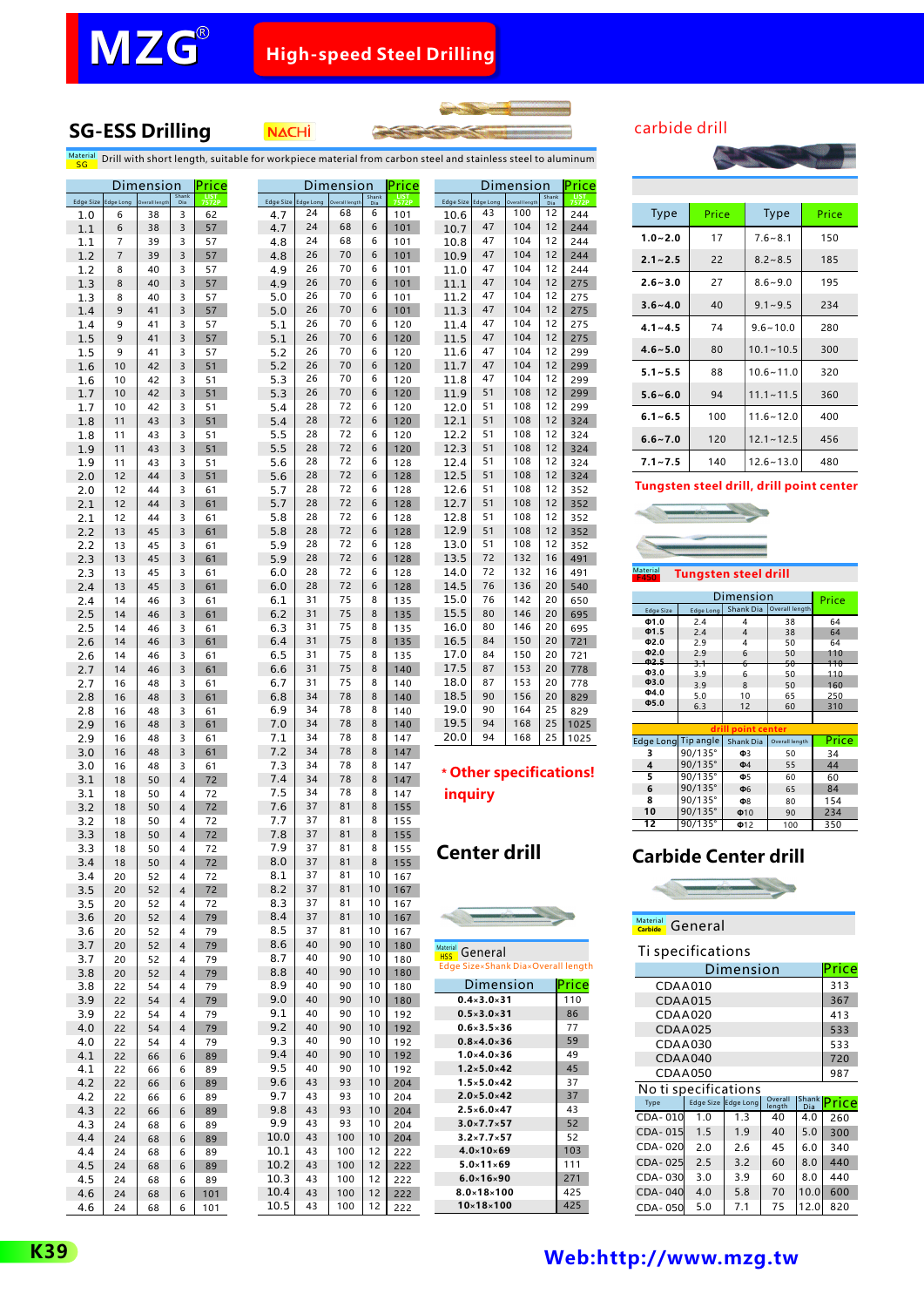#### **SG-ESS Drilling**

Material Drill with short length, suitable for workpiece material from carbon steel and stainless steel to aluminum<br>SG

**NACHI** 

**Contract Contract Contract Contract Contract Contract Contract Contract Contract Contract Contract Contract Co** 

|                  |                | Dimension           |                | Price         |      |                           | Dimension            |              | Price         |                  |                                    | Dimension           |              | Price         |
|------------------|----------------|---------------------|----------------|---------------|------|---------------------------|----------------------|--------------|---------------|------------------|------------------------------------|---------------------|--------------|---------------|
|                  |                |                     | Shank<br>Dia   | LIST<br>7572P |      |                           |                      | Shank<br>Dia | LIST<br>7572P |                  |                                    |                     | Shank<br>Dia | LIST<br>7572P |
| <b>Edge Size</b> | Edge Long<br>6 | Overall lengt<br>38 | 3              | 62            |      | Edge Size Edge Long<br>24 | Overall length<br>68 | 6            | 101           | <b>Edge Size</b> | Edge Long<br>43                    | Overall leng<br>100 | 12           | 244           |
| 1.0              |                |                     |                |               | 4.7  | 24                        | 68                   | 6            |               | 10.6             | 47                                 | 104                 | 12           |               |
| 1.1              | 6              | 38                  | 3              | 57            | 4.7  |                           |                      |              | 101           | 10.7             |                                    |                     |              | 244           |
| 1.1              | 7              | 39                  | 3              | 57            | 4.8  | 24                        | 68                   | 6            | 101           | 10.8             | 47                                 | 104                 | 12           | 244           |
| 1.2              | $\overline{7}$ | 39                  | 3              | 57            | 4.8  | 26                        | 70                   | 6            | 101           | 10.9             | 47                                 | 104                 | 12           | 244           |
| 1.2              | 8              | 40                  | 3              | 57            | 4.9  | 26                        | 70                   | 6            | 101           | 11.0             | 47                                 | 104                 | 12           | 244           |
| 1.3              | 8              | 40                  | 3              | 57            | 4.9  | 26                        | 70                   | 6            | 101           | 11.1             | 47                                 | 104                 | 12           | 275           |
| 1.3              | 8              | 40                  | 3              | 57            | 5.0  | 26                        | 70                   | 6            | 101           | 11.2             | 47                                 | 104                 | 12           | 275           |
| 1.4              | 9              | 41                  | 3              | 57            | 5.0  | 26                        | 70                   | 6            | 101           | 11.3             | 47                                 | 104                 | 12           | 275           |
| 1.4              | 9              | 41                  | 3              | 57            | 5.1  | 26                        | 70                   | 6            | 120           | 11.4             | 47                                 | 104                 | 12           | 275           |
| 1.5              | 9              | 41                  | 3              | 57            | 5.1  | 26                        | 70                   | 6            | 120           | 11.5             | 47                                 | 104                 | 12           | 275           |
| 1.5              | 9              | 41                  | 3              | 57            | 5.2  | 26                        | 70                   | 6            | 120           | 11.6             | 47                                 | 104                 | 12           | 299           |
| 1.6              | 10             | 42                  | 3              | 51            | 5.2  | 26                        | 70                   | 6            | 120           | 11.7             | 47                                 | 104                 | 12           | 299           |
| 1.6              | 10             | 42                  | 3              | 51            | 5.3  | 26                        | 70                   | 6            | 120           | 11.8             | 47                                 | 104                 | 12           | 299           |
| 1.7              | 10             | 42                  | 3              | 51            | 5.3  | 26                        | 70                   | 6            | 120           | 11.9             | 51                                 | 108                 | 12           | 299           |
| 1.7              | 10             | 42                  | 3              | 51            | 5.4  | 28                        | 72                   | 6            | 120           | 12.0             | 51                                 | 108                 | 12           | 299           |
|                  |                | 43                  | 3              | 51            |      | 28                        | 72                   | 6            | 120           | 12.1             | 51                                 | 108                 | 12           | 324           |
| 1.8              | 11             |                     |                |               | 5.4  |                           | 72                   |              |               |                  |                                    |                     |              |               |
| 1.8              | 11             | 43                  | 3              | 51            | 5.5  | 28                        |                      | 6            | 120           | 12.2             | 51                                 | 108                 | 12           | 324           |
| 1.9              | 11             | 43                  | 3              | 51            | 5.5  | 28                        | 72                   | 6            | 120           | 12.3             | 51                                 | 108                 | 12           | 324           |
| 1.9              | 11             | 43                  | 3              | 51            | 5.6  | 28                        | 72                   | 6            | 128           | 12.4             | 51                                 | 108                 | 12           | 324           |
| 2.0              | 12             | 44                  | 3              | 51            | 5.6  | 28                        | 72                   | 6            | 128           | 12.5             | 51                                 | 108                 | 12           | 324           |
| 2.0              | 12             | 44                  | 3              | 61            | 5.7  | 28                        | 72                   | 6            | 128           | 12.6             | 51                                 | 108                 | 12           | 352           |
| 2.1              | 12             | 44                  | 3              | 61            | 5.7  | 28                        | 72                   | 6            | 128           | 12.7             | 51                                 | 108                 | 12           | 352           |
| 2.1              | 12             | 44                  | 3              | 61            | 5.8  | 28                        | 72                   | 6            | 128           | 12.8             | 51                                 | 108                 | 12           | 352           |
| 2.2              | 13             | 45                  | 3              | 61            | 5.8  | 28                        | 72                   | 6            | 128           | 12.9             | 51                                 | 108                 | 12           | 352           |
| 2.2              | 13             | 45                  | 3              | 61            | 5.9  | 28                        | 72                   | 6            | 128           | 13.0             | 51                                 | 108                 | 12           | 352           |
| 2.3              | 13             | 45                  | 3              | 61            | 5.9  | 28                        | 72                   | 6            | 128           | 13.5             | 72                                 | 132                 | 16           | 491           |
| 2.3              | 13             | 45                  | 3              | 61            | 6.0  | 28                        | 72                   | 6            | 128           | 14.0             | 72                                 | 132                 | 16           | 491           |
| 2.4              | 13             | 45                  | 3              | 61            | 6.0  | 28                        | 72                   | 6            | 128           | 14.5             | 76                                 | 136                 | 20           | 540           |
| 2.4              | 14             | 46                  | 3              | 61            | 6.1  | 31                        | 75                   | 8            | 135           | 15.0             | 76                                 | 142                 | 20           | 650           |
|                  |                | 46                  | 3              | 61            | 6.2  | 31                        | 75                   | 8            | 135           | 15.5             | 80                                 | 146                 | 20           | 695           |
| 2.5              | 14             |                     |                |               |      | 31                        | 75                   | 8            |               | 16.0             | 80                                 | 146                 | 20           |               |
| 2.5              | 14             | 46                  | 3              | 61            | 6.3  |                           |                      |              | 135           |                  |                                    |                     |              | 695           |
| 2.6              | 14             | 46                  | 3              | 61            | 6.4  | 31                        | 75                   | 8            | 135           | 16.5             | 84                                 | 150                 | 20           | 721           |
| 2.6              | 14             | 46                  | 3              | 61            | 6.5  | 31                        | 75                   | 8            | 135           | 17.0             | 84                                 | 150                 | 20           | 721           |
| 2.7              | 14             | 46                  | 3              | 61            | 6.6  | 31                        | 75                   | 8            | 140           | 17.5             | 87                                 | 153                 | 20           | 778           |
| 2.7              | 16             | 48                  | 3              | 61            | 6.7  | 31                        | 75                   | 8            | 140           | 18.0             | 87                                 | 153                 | 20           | 778           |
| 2.8              | 16             | 48                  | 3              | 61            | 6.8  | 34                        | 78                   | 8            | 140           | 18.5             | 90                                 | 156                 | 20           | 829           |
| 2.8              | 16             | 48                  | 3              | 61            | 6.9  | 34                        | 78                   | 8            | 140           | 19.0             | 90                                 | 164                 | 25           | 829           |
| 2.9              | 16             | 48                  | 3              | 61            | 7.0  | 34                        | 78                   | 8            | 140           | 19.5             | 94                                 | 168                 | 25           | 1025          |
| 2.9              | 16             | 48                  | 3              | 61            | 7.1  | 34                        | 78                   | 8            | 147           | 20.0             | 94                                 | 168                 | 25           | 1025          |
| 3.0              | 16             | 48                  | 3              | 61            | 7.2  | 34                        | 78                   | 8            | 147           |                  |                                    |                     |              |               |
| 3.0              | 16             | 48                  | 3              | 61            | 7.3  | 34                        | 78                   | 8            | 147           |                  |                                    |                     |              |               |
| 3.1              | 18             | 50                  | 4              | 72            | 7.4  | 34                        | 78                   | 8            | 147           |                  | * Other specifications!            |                     |              |               |
| 3.1              | 18             | 50                  | 4              | 72            | 7.5  | 34                        | 78                   | 8            | 147           | inquiry          |                                    |                     |              |               |
| 3.2              | 18             | 50                  | 4              | 72            | 7.6  | 37                        | 81                   | 8            | 155           |                  |                                    |                     |              |               |
| 3.2              | 18             | 50                  | 4              | 72            | 7.7  | 37                        | 81                   | 8            | 155           |                  |                                    |                     |              |               |
| 3.3              | 18             | 50                  | 4              | 72            | 7.8  | 37                        | 81                   | 8            | 155           |                  |                                    |                     |              |               |
|                  |                |                     | 4              | 72            | 7.9  | 37                        | 81                   | 8            | 155           |                  |                                    |                     |              |               |
| 3.3              | 18             | 50                  |                |               |      | 37                        | 81                   | 8            |               |                  | <b>Center drill</b>                |                     |              |               |
| 3.4              | 18             | 50                  | 4              | 72            | 8.0  |                           |                      |              | 155           |                  |                                    |                     |              |               |
| 3.4              | 20             | 52                  | 4              | 72            | 8.1  | 37                        | 81                   | 10           | 167           |                  |                                    |                     |              |               |
| 3.5              | 20             | 52                  | $\overline{4}$ | 72            | 8.2  | 37                        | 81                   | 10           | 167           |                  |                                    |                     |              |               |
| 3.5              | 20             | 52                  | 4              | 72            | 8.3  | 37                        | 81                   | 10           | 167           |                  |                                    |                     |              |               |
| 3.6              | 20             | 52                  | $\overline{4}$ | 79            | 8.4  | 37                        | 81                   | 10           | 167           |                  |                                    |                     |              |               |
| 3.6              | 20             | 52                  | 4              | 79            | 8.5  | 37                        | 81                   | 10           | 167           |                  |                                    |                     |              |               |
| 3.7              | 20             | 52                  | $\overline{4}$ | 79            | 8.6  | 40                        | 90                   | 10           | 180           | Material         | General                            |                     |              |               |
| 3.7              | 20             | 52                  | 4              | 79            | 8.7  | 40                        | 90                   | 10           | 180           | <b>HSS</b>       | Edge Size×Shank Dia×Overall length |                     |              |               |
| 3.8              | 20             | 52                  | $\overline{4}$ | 79            | 8.8  | 40                        | 90                   | 10           | 180           |                  |                                    |                     |              |               |
| 3.8              | 22             | 54                  | 4              | 79            | 8.9  | 40                        | 90                   | 10           | 180           |                  | Dimension                          |                     |              | Price         |
| 3.9              | 22             | 54                  | $\overline{4}$ | 79            | 9.0  | 40                        | 90                   | 10           | 180           |                  | $0.4 \times 3.0 \times 31$         |                     |              | 110           |
| 3.9              | 22             | 54                  | 4              | 79            | 9.1  | 40                        | 90                   | 10           | 192           |                  | $0.5 \times 3.0 \times 31$         |                     |              | 86            |
| 4.0              | 22             | 54                  | $\overline{4}$ | 79            | 9.2  | 40                        | 90                   | 10           | 192           |                  | $0.6 \times 3.5 \times 36$         |                     |              | 77            |
| 4.0              | 22             | 54                  | 4              | 79            | 9.3  | 40                        | 90                   | 10           | 192           |                  | $0.8\times4.0\times36$             |                     |              | 59            |
| 4.1              | 22             | 66                  | 6              | 89            | 9.4  | 40                        | 90                   | 10           | 192           |                  | $1.0 \times 4.0 \times 36$         |                     |              | 49            |
| 4.1              | 22             | 66                  | 6              | 89            | 9.5  | 40                        | 90                   | 10           | 192           |                  | $1.2 \times 5.0 \times 42$         |                     |              | 45            |
| 4.2              |                | 66                  | 6              | 89            | 9.6  | 43                        | 93                   | 10           | 204           |                  | $1.5 \times 5.0 \times 42$         |                     |              | 37            |
|                  | 22             |                     |                |               | 9.7  |                           |                      |              |               |                  |                                    |                     |              | 37            |
| 4.2              | 22             | 66                  | 6              | 89            |      | 43                        | 93                   | 10           | 204           |                  | $2.0 \times 5.0 \times 42$         |                     |              | 43            |
| 4.3              | 22             | 66                  | 6              | 89            | 9.8  | 43                        | 93                   | 10           | 204           |                  | $2.5 \times 6.0 \times 47$         |                     |              |               |
| 4.3              | 24             | 68                  | 6              | 89            | 9.9  | 43                        | 93                   | 10           | 204           |                  | $3.0 \times 7.7 \times 57$         |                     |              | 52            |
| 4.4              | 24             | 68                  | 6              | 89            | 10.0 | 43                        | 100                  | 10           | 204           |                  | $3.2 \times 7.7 \times 57$         |                     |              | 52            |
| 4.4              | 24             | 68                  | 6              | 89            | 10.1 | 43                        | 100                  | 12           | 222           |                  | $4.0 \times 10 \times 69$          |                     |              | 103           |
| 4.5              | 24             | 68                  | 6              | 89            | 10.2 | 43                        | 100                  | 12           | 222           |                  | $5.0 \times 11 \times 69$          |                     |              | 111           |
| 4.5              | 24             | 68                  | 6              | 89            | 10.3 | 43                        | 100                  | 12           | 222           |                  | $6.0 \times 16 \times 90$          |                     |              | 271           |
| 4.6              | 24             | 68                  | 6              | 101           | 10.4 | 43                        | 100                  | 12           | 222           |                  | $8.0 \times 18 \times 100$         |                     |              | 425           |
| 4.6              | 24             | 68                  | 6              | 101           | 10.5 | 43                        | 100                  | 12           | 222           |                  | $10\times18\times100$              |                     |              | 425           |

| Tvpe | Price | <b>Type</b> |  |
|------|-------|-------------|--|

carbide drill

г

| <b>Type</b> | Price | <b>Type</b>   | Price |
|-------------|-------|---------------|-------|
| $1.0 - 2.0$ | 17    | $7.6 - 8.1$   | 150   |
| $2.1 - 2.5$ | 22    | $8.2 - 8.5$   | 185   |
| $2.6 - 3.0$ | 27    | $8.6 - 9.0$   | 195   |
| $3.6 - 4.0$ | 40    | $9.1 - 9.5$   | 234   |
| $4.1 - 4.5$ | 74    | $9.6 - 10.0$  | 280   |
| $4.6 - 5.0$ | 80    | $10.1 - 10.5$ | 300   |
| $5.1 - 5.5$ | 88    | $10.6 - 11.0$ | 320   |
| $5.6 - 6.0$ | 94    | $11.1 - 11.5$ | 360   |
| $6.1 - 6.5$ | 100   | $11.6 - 12.0$ | 400   |
| $6.6 - 7.0$ | 120   | $12.1 - 12.5$ | 456   |
| $7.1 - 7.5$ | 140   | $12.6 - 13.0$ | 480   |

#### **Tungsten steel drill, drill point center**



|                          |                  | Dimension          |                | Price |
|--------------------------|------------------|--------------------|----------------|-------|
| <b>Edge Size</b>         | Edge Long        | Shank Dia          | Overall length |       |
| 01.0                     | 2.4              | 4                  | 38             | 64    |
| Φ1.5                     | 2.4              | $\overline{4}$     | 38             | 64    |
| Φ2.0                     | 2.9              | 4                  | 50             | 64    |
| Φ2.0                     | 2.9              | 6                  | 50             | 110   |
| 42.5                     | 3.1              | б                  | 50             | 110   |
| Φ3.0                     | 3.9              | 6                  | 50             | 110   |
| Φ3.0                     | 3.9              | 8                  | 50             | 160   |
| $\Phi$ 4.0<br>$\Phi$ 5.0 | 5.0              | 10                 | 65             | 250   |
|                          | 6.3              | 12                 | 60             | 310   |
|                          |                  |                    |                |       |
|                          |                  | drill point center |                |       |
| Edge Long Tip angle      |                  | Shank Dia          | Overall length | Price |
| 3                        | 90/135°          | Ф3                 | 50             | 34    |
| 4                        | $90/135^{\circ}$ | Φ4                 | 55             | 44    |
| 5                        | $90/135^{\circ}$ | $\Phi$             | 60             | 60    |
| 6                        | 90/135°          | Φ6                 | 65             | 84    |
| 8                        | $90/135^{\circ}$ | Ф8                 | 80             | 154   |
| 10                       | 90/135°          | Φ10                | 90             | 234   |
| 12                       | $90/135^{\circ}$ | Φ12                | 100            | 350   |

### **Carbide Center drill**



### **[Web:http://www.mzg.tw](http://www.mzg.tw)**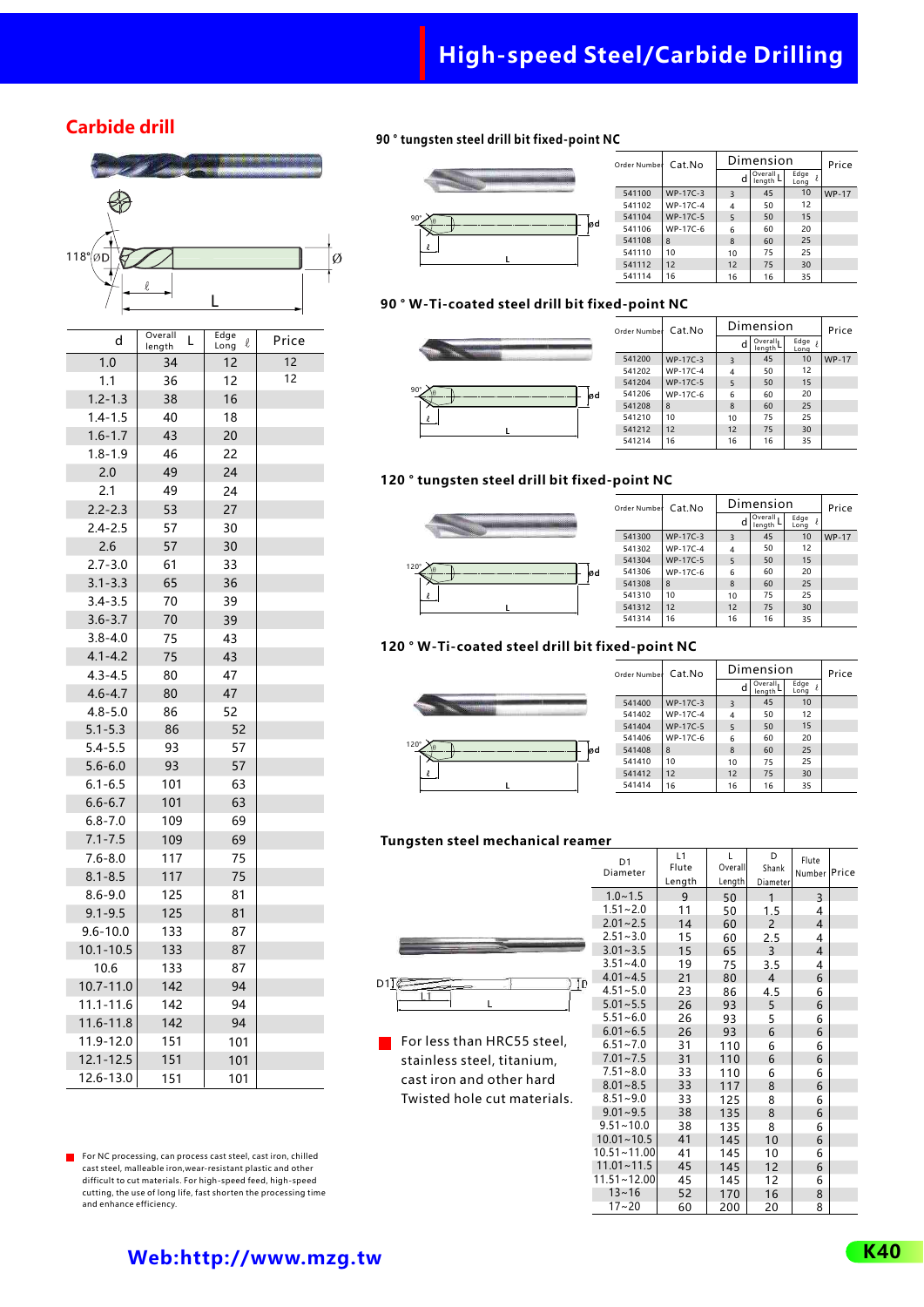## **High-speed Steel/Carbide Drilling**

#### **Carbide drill**



| d             | Overall<br>L<br>length | Edge<br>$\ell$<br>Long | Price |
|---------------|------------------------|------------------------|-------|
| 1.0           | 34                     | 12                     | 12    |
| 1.1           | 36                     | 12                     | 12    |
| $1.2 - 1.3$   | 38                     | 16                     |       |
| $1.4 - 1.5$   | 40                     | 18                     |       |
| $1.6 - 1.7$   | 43                     | 20                     |       |
| $1.8 - 1.9$   | 46                     | 22                     |       |
| 2.0           | 49                     | 24                     |       |
| 2.1           | 49                     | 24                     |       |
| $2.2 - 2.3$   | 53                     | 27                     |       |
| $2.4 - 2.5$   | 57                     | 30                     |       |
| 2.6           | 57                     | 30                     |       |
| $2.7 - 3.0$   | 61                     | 33                     |       |
| $3.1 - 3.3$   | 65                     | 36                     |       |
| $3.4 - 3.5$   | 70                     | 39                     |       |
| $3.6 - 3.7$   | 70                     | 39                     |       |
| $3.8 - 4.0$   | 75                     | 43                     |       |
| $4.1 - 4.2$   | 75                     | 43                     |       |
| $4.3 - 4.5$   | 80                     | 47                     |       |
| $4.6 - 4.7$   | 80                     | 47                     |       |
| $4.8 - 5.0$   | 86                     | 52                     |       |
| $5.1 - 5.3$   | 86                     | 52                     |       |
| $5.4 - 5.5$   | 93                     | 57                     |       |
| $5.6 - 6.0$   | 93                     | 57                     |       |
| $6.1 - 6.5$   | 101                    | 63                     |       |
| $6.6 - 6.7$   | 101                    | 63                     |       |
| $6.8 - 7.0$   | 109                    | 69                     |       |
| $7.1 - 7.5$   | 109                    | 69                     |       |
| $7.6 - 8.0$   | 117                    | 75                     |       |
| $8.1 - 8.5$   | 117                    | 75                     |       |
| $8.6 - 9.0$   | 125                    | 81                     |       |
| $9.1 - 9.5$   | 125                    | 81                     |       |
| $9.6 - 10.0$  | 133                    | 87                     |       |
| $10.1 - 10.5$ | 133                    | 87                     |       |
| 10.6          | 133                    | 87                     |       |
| 10.7-11.0     | 142                    | 94                     |       |
| $11.1 - 11.6$ | 142                    | 94                     |       |
| 11.6-11.8     | 142                    | 94                     |       |
| 11.9-12.0     | 151                    | 101                    |       |
| $12.1 - 12.5$ | 151                    | 101                    |       |
| 12.6-13.0     | 151                    | 101                    |       |

For NC processing, can process cast steel, cast iron, chilled cast steel, malleable iron,wear-resistant plastic and other difficult to cut materials. For high-speed feed, high-speed cutting, the use of long life, fast shorten the processing time and enhance efficiency.

#### **90 ° tungsten steel drill bit fixed-point NC**



| Order Number | Cat.No   |    | Dimension         |                   | Price        |
|--------------|----------|----|-------------------|-------------------|--------------|
|              |          | d  | Overall<br>length | Edge<br>l<br>Long |              |
| 541100       | WP-17C-3 | 3  | 45                | 10                | <b>WP-17</b> |
| 541102       | WP-17C-4 | 4  | 50                | 12                |              |
| 541104       | WP-17C-5 | 5  | 50                | 15                |              |
| 541106       | WP-17C-6 | 6  | 60                | 20                |              |
| 541108       | 8        | 8  | 60                | 25                |              |
| 541110       | 10       | 10 | 75                | 25                |              |
| 541112       | 12       | 12 | 75                | 30                |              |
| 541114       | 16       | 16 | 16                | 35                |              |

#### **90 ° W-Ti-coated steel drill bit fixed**

### θ d L 90°

| d-point NC   |          |    |                                |                          |              |  |  |  |  |  |
|--------------|----------|----|--------------------------------|--------------------------|--------------|--|--|--|--|--|
| Order Number | Cat.No   |    | Dimension                      |                          | Price        |  |  |  |  |  |
|              |          | d  | Overall<br>lenath <sup>1</sup> | Edge<br>$\theta$<br>Long |              |  |  |  |  |  |
| 541200       | WP-17C-3 | 3  | 45                             | 10                       | <b>WP-17</b> |  |  |  |  |  |
| 541202       | WP-17C-4 | 4  | 50                             | 12                       |              |  |  |  |  |  |
| 541204       | WP-17C-5 | 5  | 50                             | 15                       |              |  |  |  |  |  |
| 541206       | WP-17C-6 | 6  | 60                             | 20                       |              |  |  |  |  |  |
| 541208       | 8        | 8  | 60                             | 25                       |              |  |  |  |  |  |
| 541210       | 10       | 10 | 75                             | 25                       |              |  |  |  |  |  |
| 541212       | 12       | 12 | 75                             | 30                       |              |  |  |  |  |  |
| 541214       | 16       | 16 | 16                             | 35                       |              |  |  |  |  |  |

#### **120 ° tungsten steel drill bit fixed-point NC**



| Order Number | Cat.No   |    | Dimension         |                        | Price        |
|--------------|----------|----|-------------------|------------------------|--------------|
|              |          | d  | Overall<br>length | Edge<br>$\ell$<br>Long |              |
| 541300       | WP-17C-3 | 3  | 45                | 10                     | <b>WP-17</b> |
| 541302       | WP-17C-4 | 4  | 50                | 12                     |              |
| 541304       | WP-17C-5 | 5  | 50                | 15                     |              |
| 541306       | WP-17C-6 | 6  | 60                | 20                     |              |
| 541308       | 8        | 8  | 60                | 25                     |              |
| 541310       | 10       | 10 | 75                | 25                     |              |
| 541312       | 12       | 12 | 75                | 30                     |              |
| 541314       | 16       | 16 | 16                | 35                     |              |

#### **120 ° W-Ti-coated steel drill bit fixed-point NC**



| Order Number | Cat.No   |    | Dimension            |                    | Price |
|--------------|----------|----|----------------------|--------------------|-------|
|              |          | d  | Overall,<br>length L | Edge<br>I.<br>Long |       |
| 541400       | WP-17C-3 | 3  | 45                   | 10                 |       |
| 541402       | WP-17C-4 | 4  | 50                   | 12                 |       |
| 541404       | WP-17C-5 | 5  | 50                   | 15                 |       |
| 541406       | WP-17C-6 | 6  | 60                   | 20                 |       |
| 541408       | 8        | 8  | 60                   | 25                 |       |
| 541410       | 10       | 10 | 75                   | 25                 |       |
| 541412       | 12       | 12 | 75                   | 30                 |       |
| 541414       | 16       | 16 | 16                   | 35                 |       |

#### **Tungsten steel mechanical reamer**



For less than HRC55 steel, stainless steel, titanium, cast iron and other hard Twisted hole cut materials.

| D <sub>1</sub><br>Diameter | L1<br>Flute<br>Length | L<br>Overall<br>Length | D<br>Shank<br>Diameter | Flute<br>Number | <b>Price</b> |
|----------------------------|-----------------------|------------------------|------------------------|-----------------|--------------|
| $1.0 - 1.5$                | 9                     | 50                     | 1                      | 3               |              |
| $1.51 - 2.0$               | 11                    | 50                     | 1.5                    | 4               |              |
| $2.01 - 2.5$               | 14                    | 60                     | $\overline{2}$         | $\overline{4}$  |              |
| $2.51 - 3.0$               | 15                    | 60                     | 2.5                    | 4               |              |
| $3.01 - 3.5$               | 15                    | 65                     | 3                      | $\overline{4}$  |              |
| $3.51 - 4.0$               | 19                    | 75                     | 3.5                    | 4               |              |
| $4.01 - 4.5$               | 21                    | 80                     | $\overline{4}$         | 6               |              |
| $4.51 - 5.0$               | 23                    | 86                     | 4.5                    | 6               |              |
| $5.01 - 5.5$               | 26                    | 93                     | 5                      | 6               |              |
| $5.51 - 6.0$               | 26                    | 93                     | 5                      | 6               |              |
| $6.01 - 6.5$               | 26                    | 93                     | 6                      | 6               |              |
| $6.51 - 7.0$               | 31                    | 110                    | 6                      | 6               |              |
| $7.01 - 7.5$               | 31                    | 110                    | 6                      | 6               |              |
| $7.51 - 8.0$               | 33                    | 110                    | 6                      | 6               |              |
| $8.01 - 8.5$               | 33                    | 117                    | 8                      | 6               |              |
| $8.51 - 9.0$               | 33                    | 125                    | 8                      | 6               |              |
| $9.01 - 9.5$               | 38                    | 135                    | 8                      | 6               |              |
| $9.51 - 10.0$              | 38                    | 135                    | 8                      | 6               |              |
| $10.01 \times 10.5$        | 41                    | 145                    | 10                     | 6               |              |
| 10.51~11.00                | 41                    | 145                    | 10                     | 6               |              |
| $11.01 - 11.5$             | 45                    | 145                    | 12                     | 6               |              |
| $11.51 - 12.00$            | 45                    | 145                    | 12                     | 6               |              |
| $13 - 16$                  | 52                    | 170                    | 16                     | 8               |              |
| $17 - 20$                  | 60                    | 200                    | 20                     | 8               |              |

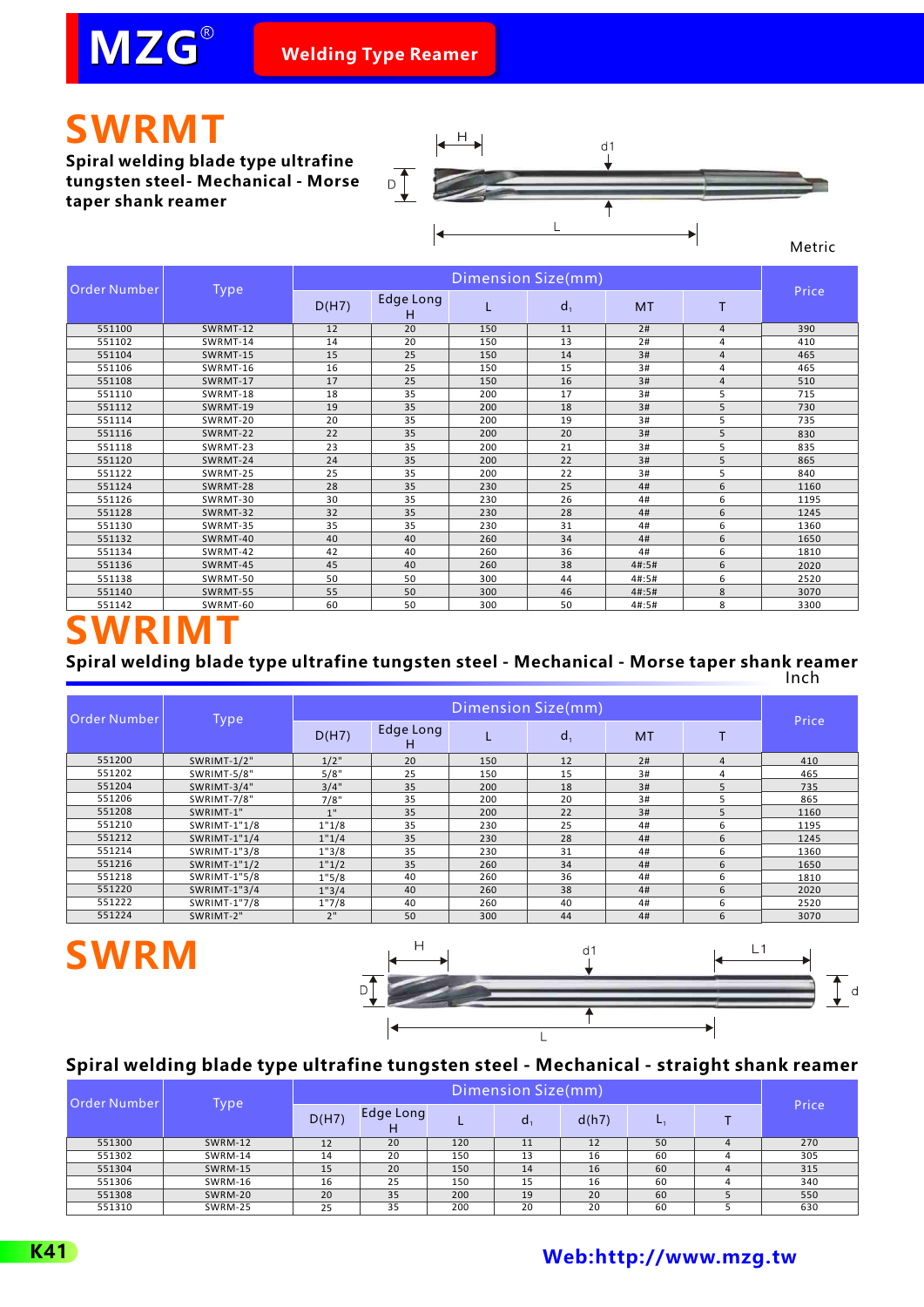## **SWRMT**

**Spiral welding blade type ultrafine tungsten steel- Mechanical - Morse taper shank reamer**



Metric

|                     | <b>Type</b> |       |                |     | Dimension Size(mm) |           |                |       |
|---------------------|-------------|-------|----------------|-----|--------------------|-----------|----------------|-------|
| <b>Order Number</b> |             | D(H7) | Edge Long<br>H |     | $d_{1}$            | <b>MT</b> |                | Price |
| 551100              | SWRMT-12    | 12    | 20             | 150 | 11                 | 2#        | $\overline{4}$ | 390   |
| 551102              | SWRMT-14    | 14    | 20             | 150 | 13                 | 2#        | 4              | 410   |
| 551104              | SWRMT-15    | 15    | 25             | 150 | 14                 | 3#        | $\overline{4}$ | 465   |
| 551106              | SWRMT-16    | 16    | 25             | 150 | 15                 | 3#        | 4              | 465   |
| 551108              | SWRMT-17    | 17    | 25             | 150 | 16                 | 3#        | $\overline{4}$ | 510   |
| 551110              | SWRMT-18    | 18    | 35             | 200 | 17                 | 3#        | 5              | 715   |
| 551112              | SWRMT-19    | 19    | 35             | 200 | 18                 | 3#        | 5              | 730   |
| 551114              | SWRMT-20    | 20    | 35             | 200 | 19                 | 3#        | 5              | 735   |
| 551116              | SWRMT-22    | 22    | 35             | 200 | 20                 | 3#        | 5              | 830   |
| 551118              | SWRMT-23    | 23    | 35             | 200 | 21                 | 3#        | 5              | 835   |
| 551120              | SWRMT-24    | 24    | 35             | 200 | 22                 | 3#        | 5              | 865   |
| 551122              | SWRMT-25    | 25    | 35             | 200 | 22                 | 3#        | 5              | 840   |
| 551124              | SWRMT-28    | 28    | 35             | 230 | 25                 | 4#        | 6              | 1160  |
| 551126              | SWRMT-30    | 30    | 35             | 230 | 26                 | 4#        | 6              | 1195  |
| 551128              | SWRMT-32    | 32    | 35             | 230 | 28                 | 4#        | 6              | 1245  |
| 551130              | SWRMT-35    | 35    | 35             | 230 | 31                 | 4#        | 6              | 1360  |
| 551132              | SWRMT-40    | 40    | 40             | 260 | 34                 | 4#        | 6              | 1650  |
| 551134              | SWRMT-42    | 42    | 40             | 260 | 36                 | 4#        | 6              | 1810  |
| 551136              | SWRMT-45    | 45    | 40             | 260 | 38                 | 4#:5#     | 6              | 2020  |
| 551138              | SWRMT-50    | 50    | 50             | 300 | 44                 | 4#:5#     | 6              | 2520  |
| 551140              | SWRMT-55    | 55    | 50             | 300 | 46                 | 4#:5#     | 8              | 3070  |
| 551142              | SWRMT-60    | 60    | 50             | 300 | 50                 | 4#:5#     | 8              | 3300  |

# **SWRIMT**

**Spiral welding blade type ultrafine tungsten steel - Mechanical - Morse taper shank reamer** Inch

| Order Number | <b>Type</b>  |                 | Dimension Size(mm) |     |       |           |   |       |  |
|--------------|--------------|-----------------|--------------------|-----|-------|-----------|---|-------|--|
|              |              | D(H7)           | Edge Long<br>н     |     | $d_1$ | <b>MT</b> |   | Price |  |
| 551200       | SWRIMT-1/2"  | 1/2"            | 20                 | 150 | 12    | 2#        | 4 | 410   |  |
| 551202       | SWRIMT-5/8"  | 5/8"            | 25                 | 150 | 15    | 3#        | 4 | 465   |  |
| 551204       | SWRIMT-3/4"  | 3/4"            | 35                 | 200 | 18    | 3#        | 5 | 735   |  |
| 551206       | SWRIMT-7/8"  | 7/8"            | 35                 | 200 | 20    | 3#        | 5 | 865   |  |
| 551208       | SWRIMT-1"    | 1 <sup>11</sup> | 35                 | 200 | 22    | 3#        | 5 | 1160  |  |
| 551210       | SWRIMT-1"1/8 | 1"1/8           | 35                 | 230 | 25    | 4#        | 6 | 1195  |  |
| 551212       | SWRIMT-1"1/4 | 1"1/4           | 35                 | 230 | 28    | 4#        | 6 | 1245  |  |
| 551214       | SWRIMT-1"3/8 | 1"3/8           | 35                 | 230 | 31    | 4#        | 6 | 1360  |  |
| 551216       | SWRIMT-1"1/2 | 1"1/2           | 35                 | 260 | 34    | 4#        | 6 | 1650  |  |
| 551218       | SWRIMT-1"5/8 | 1"5/8           | 40                 | 260 | 36    | 4#        | 6 | 1810  |  |
| 551220       | SWRIMT-1"3/4 | 1"3/4           | 40                 | 260 | 38    | 4#        | 6 | 2020  |  |
| 551222       | SWRIMT-1"7/8 | 1"7/8           | 40                 | 260 | 40    | 4#        | 6 | 2520  |  |
| 551224       | SWRIMT-2"    | 2"              | 50                 | 300 | 44    | 4#        | 6 | 3070  |  |

# **SWRM**



### **Spiral welding blade type ultrafine tungsten steel - Mechanical - straight shank reamer**

| Order Number | Type    |       | Price     |     |              |       |    |  |     |
|--------------|---------|-------|-----------|-----|--------------|-------|----|--|-----|
|              |         | D(H7) | Edge Long |     | $\mathbf{d}$ | d(h7) | ь, |  |     |
| 551300       | SWRM-12 | 12    | 20        | 120 | 11           | 12    | 50 |  | 270 |
| 551302       | SWRM-14 | 14    | 20        | 150 | 13           | 16    | 60 |  | 305 |
| 551304       | SWRM-15 | 15    | 20        | 150 | 14           | 16    | 60 |  | 315 |
| 551306       | SWRM-16 | 16    | 25        | 150 | 15           | 16    | 60 |  | 340 |
| 551308       | SWRM-20 | 20    | 35        | 200 | 19           | 20    | 60 |  | 550 |
| 551310       | SWRM-25 | 25    | 35        | 200 | 20           | 20    | 60 |  | 630 |

## **K41 [Web:http://www.mzg.tw](http://www.mzg.tw)**